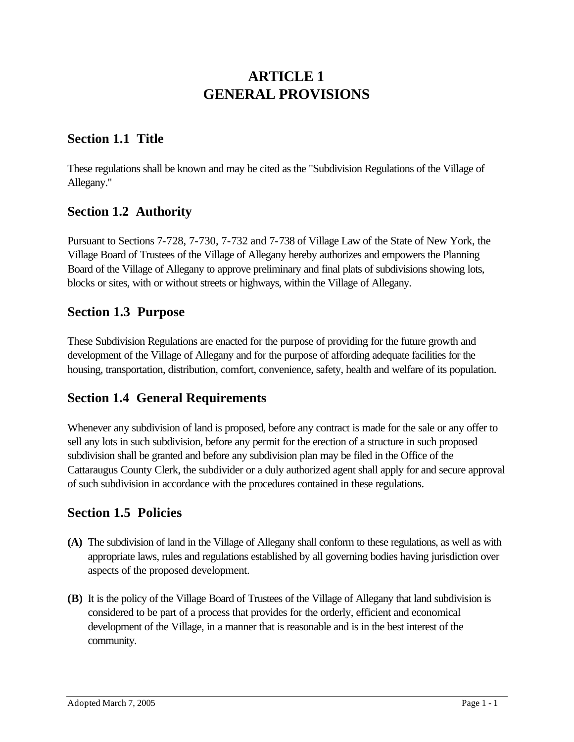# **ARTICLE 1 GENERAL PROVISIONS**

### **Section 1.1 Title**

These regulations shall be known and may be cited as the "Subdivision Regulations of the Village of Allegany."

### **Section 1.2 Authority**

Pursuant to Sections 7-728, 7-730, 7-732 and 7-738 of Village Law of the State of New York, the Village Board of Trustees of the Village of Allegany hereby authorizes and empowers the Planning Board of the Village of Allegany to approve preliminary and final plats of subdivisions showing lots, blocks or sites, with or without streets or highways, within the Village of Allegany.

### **Section 1.3 Purpose**

These Subdivision Regulations are enacted for the purpose of providing for the future growth and development of the Village of Allegany and for the purpose of affording adequate facilities for the housing, transportation, distribution, comfort, convenience, safety, health and welfare of its population.

# **Section 1.4 General Requirements**

Whenever any subdivision of land is proposed, before any contract is made for the sale or any offer to sell any lots in such subdivision, before any permit for the erection of a structure in such proposed subdivision shall be granted and before any subdivision plan may be filed in the Office of the Cattaraugus County Clerk, the subdivider or a duly authorized agent shall apply for and secure approval of such subdivision in accordance with the procedures contained in these regulations.

### **Section 1.5 Policies**

- **(A)** The subdivision of land in the Village of Allegany shall conform to these regulations, as well as with appropriate laws, rules and regulations established by all governing bodies having jurisdiction over aspects of the proposed development.
- **(B)** It is the policy of the Village Board of Trustees of the Village of Allegany that land subdivision is considered to be part of a process that provides for the orderly, efficient and economical development of the Village, in a manner that is reasonable and is in the best interest of the community.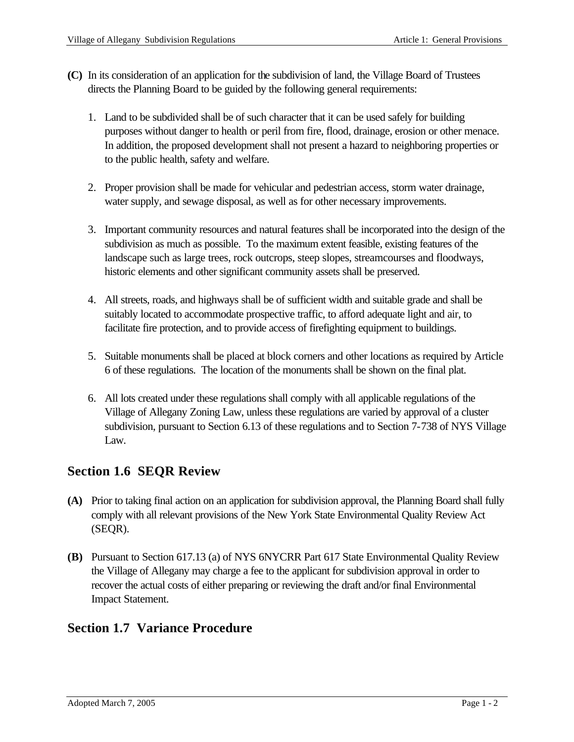- **(C)** In its consideration of an application for the subdivision of land, the Village Board of Trustees directs the Planning Board to be guided by the following general requirements:
	- 1. Land to be subdivided shall be of such character that it can be used safely for building purposes without danger to health or peril from fire, flood, drainage, erosion or other menace. In addition, the proposed development shall not present a hazard to neighboring properties or to the public health, safety and welfare.
	- 2. Proper provision shall be made for vehicular and pedestrian access, storm water drainage, water supply, and sewage disposal, as well as for other necessary improvements.
	- 3. Important community resources and natural features shall be incorporated into the design of the subdivision as much as possible. To the maximum extent feasible, existing features of the landscape such as large trees, rock outcrops, steep slopes, streamcourses and floodways, historic elements and other significant community assets shall be preserved.
	- 4. All streets, roads, and highways shall be of sufficient width and suitable grade and shall be suitably located to accommodate prospective traffic, to afford adequate light and air, to facilitate fire protection, and to provide access of firefighting equipment to buildings.
	- 5. Suitable monuments shall be placed at block corners and other locations as required by Article 6 of these regulations. The location of the monuments shall be shown on the final plat.
	- 6. All lots created under these regulations shall comply with all applicable regulations of the Village of Allegany Zoning Law, unless these regulations are varied by approval of a cluster subdivision, pursuant to Section 6.13 of these regulations and to Section 7-738 of NYS Village Law.

# **Section 1.6 SEQR Review**

- **(A)** Prior to taking final action on an application for subdivision approval, the Planning Board shall fully comply with all relevant provisions of the New York State Environmental Quality Review Act (SEQR).
- **(B)** Pursuant to Section 617.13 (a) of NYS 6NYCRR Part 617 State Environmental Quality Review the Village of Allegany may charge a fee to the applicant for subdivision approval in order to recover the actual costs of either preparing or reviewing the draft and/or final Environmental Impact Statement.

# **Section 1.7 Variance Procedure**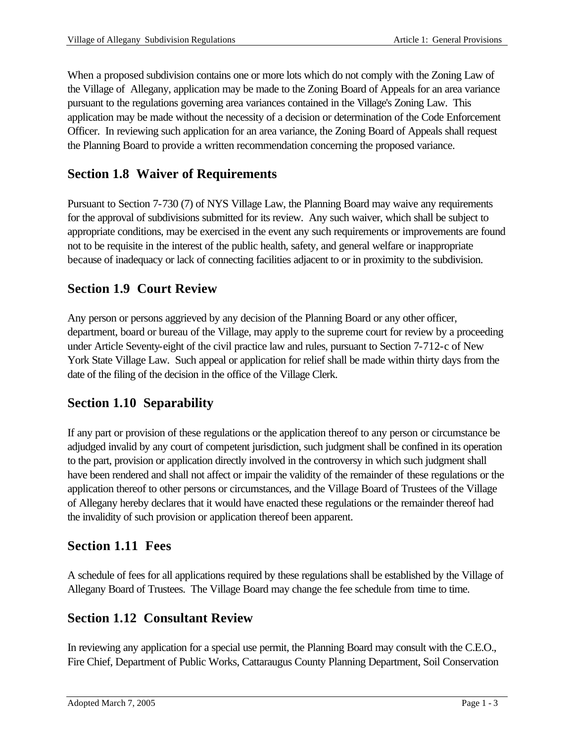When a proposed subdivision contains one or more lots which do not comply with the Zoning Law of the Village of Allegany, application may be made to the Zoning Board of Appeals for an area variance pursuant to the regulations governing area variances contained in the Village's Zoning Law. This application may be made without the necessity of a decision or determination of the Code Enforcement Officer. In reviewing such application for an area variance, the Zoning Board of Appeals shall request the Planning Board to provide a written recommendation concerning the proposed variance.

# **Section 1.8 Waiver of Requirements**

Pursuant to Section 7-730 (7) of NYS Village Law, the Planning Board may waive any requirements for the approval of subdivisions submitted for its review. Any such waiver, which shall be subject to appropriate conditions, may be exercised in the event any such requirements or improvements are found not to be requisite in the interest of the public health, safety, and general welfare or inappropriate because of inadequacy or lack of connecting facilities adjacent to or in proximity to the subdivision.

### **Section 1.9 Court Review**

Any person or persons aggrieved by any decision of the Planning Board or any other officer, department, board or bureau of the Village, may apply to the supreme court for review by a proceeding under Article Seventy-eight of the civil practice law and rules, pursuant to Section 7-712-c of New York State Village Law. Such appeal or application for relief shall be made within thirty days from the date of the filing of the decision in the office of the Village Clerk.

# **Section 1.10 Separability**

If any part or provision of these regulations or the application thereof to any person or circumstance be adjudged invalid by any court of competent jurisdiction, such judgment shall be confined in its operation to the part, provision or application directly involved in the controversy in which such judgment shall have been rendered and shall not affect or impair the validity of the remainder of these regulations or the application thereof to other persons or circumstances, and the Village Board of Trustees of the Village of Allegany hereby declares that it would have enacted these regulations or the remainder thereof had the invalidity of such provision or application thereof been apparent.

# **Section 1.11 Fees**

A schedule of fees for all applications required by these regulations shall be established by the Village of Allegany Board of Trustees. The Village Board may change the fee schedule from time to time.

# **Section 1.12 Consultant Review**

In reviewing any application for a special use permit, the Planning Board may consult with the C.E.O., Fire Chief, Department of Public Works, Cattaraugus County Planning Department, Soil Conservation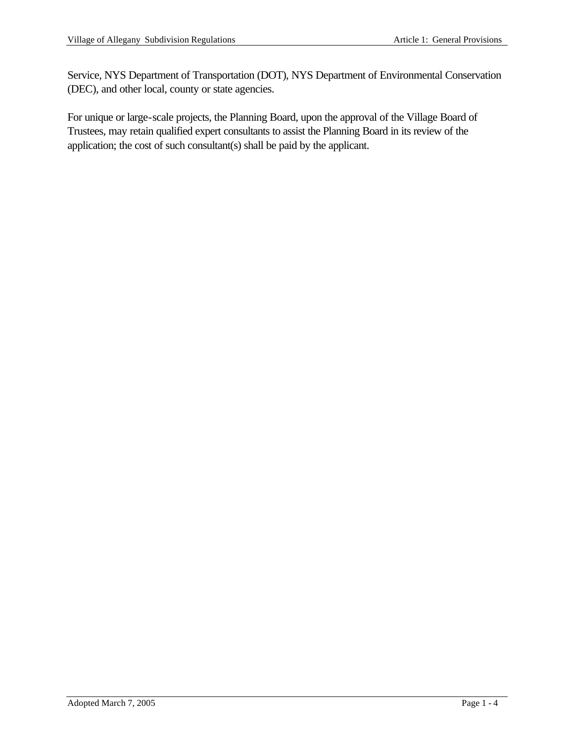Service, NYS Department of Transportation (DOT), NYS Department of Environmental Conservation (DEC), and other local, county or state agencies.

For unique or large-scale projects, the Planning Board, upon the approval of the Village Board of Trustees, may retain qualified expert consultants to assist the Planning Board in its review of the application; the cost of such consultant(s) shall be paid by the applicant.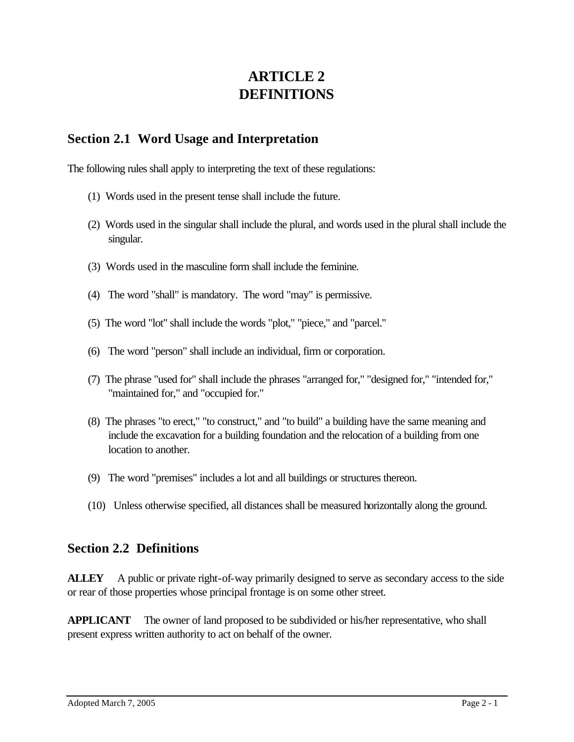# **ARTICLE 2 DEFINITIONS**

### **Section 2.1 Word Usage and Interpretation**

The following rules shall apply to interpreting the text of these regulations:

- (1) Words used in the present tense shall include the future.
- (2) Words used in the singular shall include the plural, and words used in the plural shall include the singular.
- (3) Words used in the masculine form shall include the feminine.
- (4) The word "shall" is mandatory. The word "may" is permissive.
- (5) The word "lot" shall include the words "plot," "piece," and "parcel."
- (6) The word "person" shall include an individual, firm or corporation.
- (7) The phrase "used for" shall include the phrases "arranged for," "designed for," "intended for," "maintained for," and "occupied for."
- (8) The phrases "to erect," "to construct," and "to build" a building have the same meaning and include the excavation for a building foundation and the relocation of a building from one location to another.
- (9) The word "premises" includes a lot and all buildings or structures thereon.
- (10) Unless otherwise specified, all distances shall be measured horizontally along the ground.

### **Section 2.2 Definitions**

**ALLEY** A public or private right-of-way primarily designed to serve as secondary access to the side or rear of those properties whose principal frontage is on some other street.

**APPLICANT** The owner of land proposed to be subdivided or his/her representative, who shall present express written authority to act on behalf of the owner.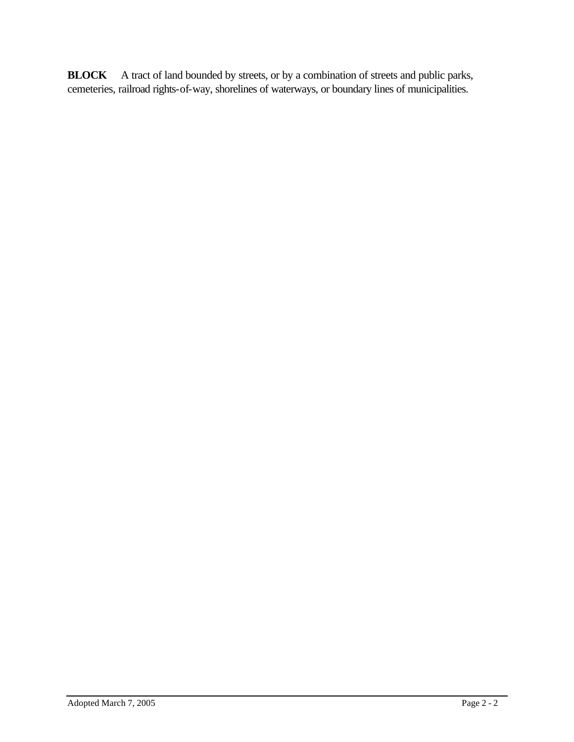**BLOCK** A tract of land bounded by streets, or by a combination of streets and public parks, cemeteries, railroad rights-of-way, shorelines of waterways, or boundary lines of municipalities.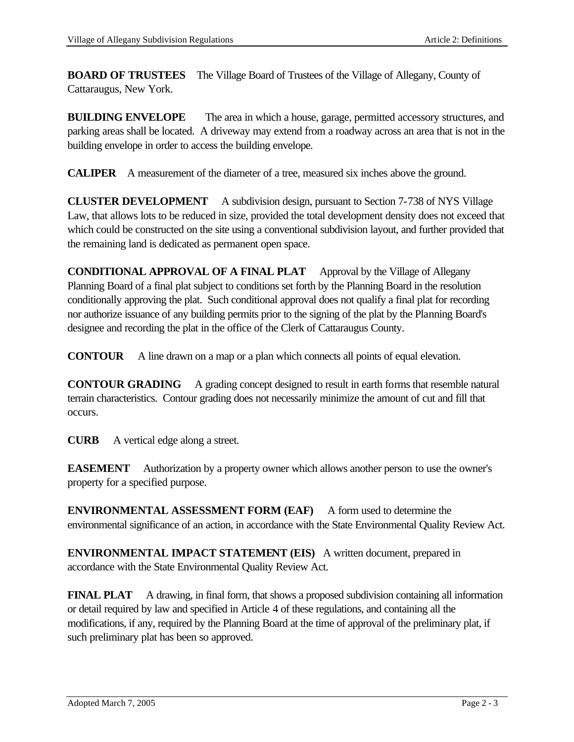**BOARD OF TRUSTEES** The Village Board of Trustees of the Village of Allegany, County of Cattaraugus, New York.

**BUILDING ENVELOPE** The area in which a house, garage, permitted accessory structures, and parking areas shall be located. A driveway may extend from a roadway across an area that is not in the building envelope in order to access the building envelope.

**CALIPER** A measurement of the diameter of a tree, measured six inches above the ground.

**CLUSTER DEVELOPMENT** A subdivision design, pursuant to Section 7-738 of NYS Village Law, that allows lots to be reduced in size, provided the total development density does not exceed that which could be constructed on the site using a conventional subdivision layout, and further provided that the remaining land is dedicated as permanent open space.

**CONDITIONAL APPROVAL OF A FINAL PLAT** Approval by the Village of Allegany Planning Board of a final plat subject to conditions set forth by the Planning Board in the resolution conditionally approving the plat. Such conditional approval does not qualify a final plat for recording nor authorize issuance of any building permits prior to the signing of the plat by the Planning Board's designee and recording the plat in the office of the Clerk of Cattaraugus County.

**CONTOUR** A line drawn on a map or a plan which connects all points of equal elevation.

**CONTOUR GRADING** A grading concept designed to result in earth forms that resemble natural terrain characteristics. Contour grading does not necessarily minimize the amount of cut and fill that occurs.

**CURB** A vertical edge along a street.

**EASEMENT** Authorization by a property owner which allows another person to use the owner's property for a specified purpose.

**ENVIRONMENTAL ASSESSMENT FORM (EAF)** A form used to determine the environmental significance of an action, in accordance with the State Environmental Quality Review Act.

**ENVIRONMENTAL IMPACT STATEMENT (EIS)** A written document, prepared in accordance with the State Environmental Quality Review Act.

**FINAL PLAT** A drawing, in final form, that shows a proposed subdivision containing all information or detail required by law and specified in Article 4 of these regulations, and containing all the modifications, if any, required by the Planning Board at the time of approval of the preliminary plat, if such preliminary plat has been so approved.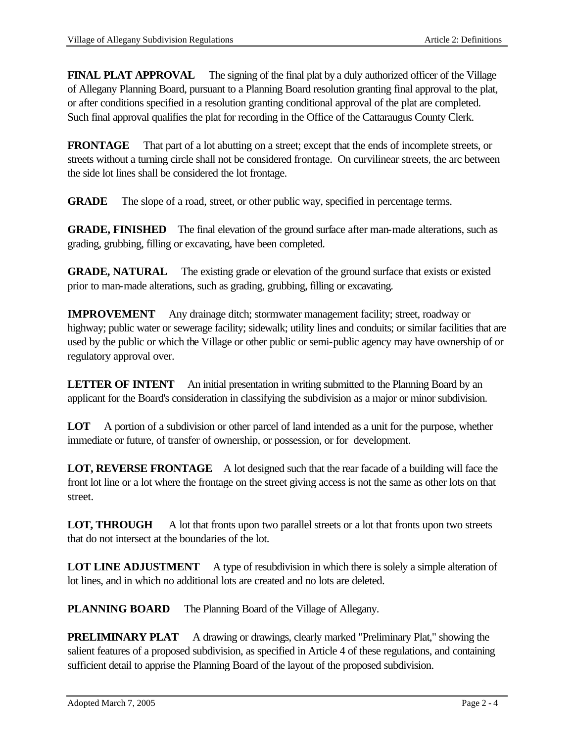**FINAL PLAT APPROVAL** The signing of the final plat by a duly authorized officer of the Village of Allegany Planning Board, pursuant to a Planning Board resolution granting final approval to the plat, or after conditions specified in a resolution granting conditional approval of the plat are completed. Such final approval qualifies the plat for recording in the Office of the Cattaraugus County Clerk.

**FRONTAGE** That part of a lot abutting on a street; except that the ends of incomplete streets, or streets without a turning circle shall not be considered frontage. On curvilinear streets, the arc between the side lot lines shall be considered the lot frontage.

**GRADE** The slope of a road, street, or other public way, specified in percentage terms.

**GRADE, FINISHED** The final elevation of the ground surface after man-made alterations, such as grading, grubbing, filling or excavating, have been completed.

**GRADE, NATURAL** The existing grade or elevation of the ground surface that exists or existed prior to man-made alterations, such as grading, grubbing, filling or excavating.

**IMPROVEMENT** Any drainage ditch; stormwater management facility; street, roadway or highway; public water or sewerage facility; sidewalk; utility lines and conduits; or similar facilities that are used by the public or which the Village or other public or semi-public agency may have ownership of or regulatory approval over.

**LETTER OF INTENT** An initial presentation in writing submitted to the Planning Board by an applicant for the Board's consideration in classifying the subdivision as a major or minor subdivision.

**LOT** A portion of a subdivision or other parcel of land intended as a unit for the purpose, whether immediate or future, of transfer of ownership, or possession, or for development.

**LOT, REVERSE FRONTAGE** A lot designed such that the rear facade of a building will face the front lot line or a lot where the frontage on the street giving access is not the same as other lots on that street.

**LOT, THROUGH** A lot that fronts upon two parallel streets or a lot that fronts upon two streets that do not intersect at the boundaries of the lot.

**LOT LINE ADJUSTMENT** A type of resubdivision in which there is solely a simple alteration of lot lines, and in which no additional lots are created and no lots are deleted.

**PLANNING BOARD** The Planning Board of the Village of Allegany.

**PRELIMINARY PLAT** A drawing or drawings, clearly marked "Preliminary Plat," showing the salient features of a proposed subdivision, as specified in Article 4 of these regulations, and containing sufficient detail to apprise the Planning Board of the layout of the proposed subdivision.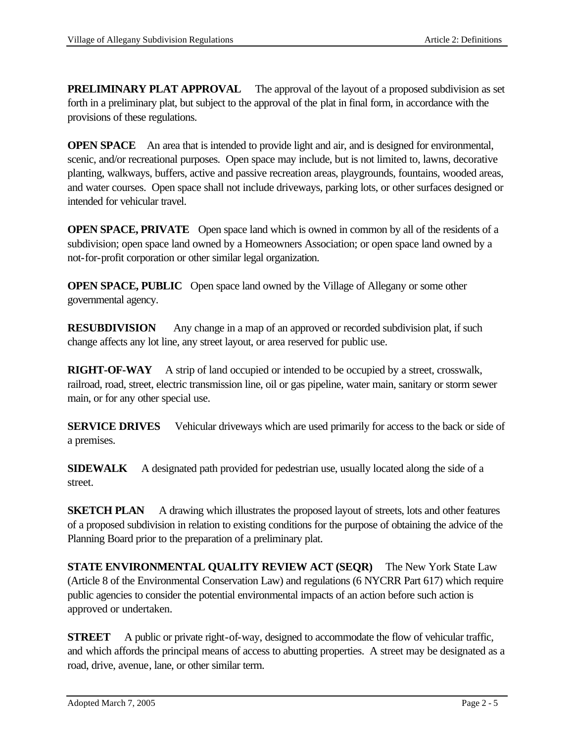**PRELIMINARY PLAT APPROVAL** The approval of the layout of a proposed subdivision as set forth in a preliminary plat, but subject to the approval of the plat in final form, in accordance with the provisions of these regulations.

**OPEN SPACE** An area that is intended to provide light and air, and is designed for environmental, scenic, and/or recreational purposes. Open space may include, but is not limited to, lawns, decorative planting, walkways, buffers, active and passive recreation areas, playgrounds, fountains, wooded areas, and water courses. Open space shall not include driveways, parking lots, or other surfaces designed or intended for vehicular travel.

**OPEN SPACE, PRIVATE** Open space land which is owned in common by all of the residents of a subdivision; open space land owned by a Homeowners Association; or open space land owned by a not-for-profit corporation or other similar legal organization.

**OPEN SPACE, PUBLIC** Open space land owned by the Village of Allegany or some other governmental agency.

**RESUBDIVISION** Any change in a map of an approved or recorded subdivision plat, if such change affects any lot line, any street layout, or area reserved for public use.

**RIGHT-OF-WAY** A strip of land occupied or intended to be occupied by a street, crosswalk, railroad, road, street, electric transmission line, oil or gas pipeline, water main, sanitary or storm sewer main, or for any other special use.

**SERVICE DRIVES** Vehicular driveways which are used primarily for access to the back or side of a premises.

**SIDEWALK** A designated path provided for pedestrian use, usually located along the side of a street.

**SKETCH PLAN** A drawing which illustrates the proposed layout of streets, lots and other features of a proposed subdivision in relation to existing conditions for the purpose of obtaining the advice of the Planning Board prior to the preparation of a preliminary plat.

**STATE ENVIRONMENTAL QUALITY REVIEW ACT (SEQR)** The New York State Law (Article 8 of the Environmental Conservation Law) and regulations (6 NYCRR Part 617) which require public agencies to consider the potential environmental impacts of an action before such action is approved or undertaken.

**STREET** A public or private right-of-way, designed to accommodate the flow of vehicular traffic, and which affords the principal means of access to abutting properties. A street may be designated as a road, drive, avenue, lane, or other similar term.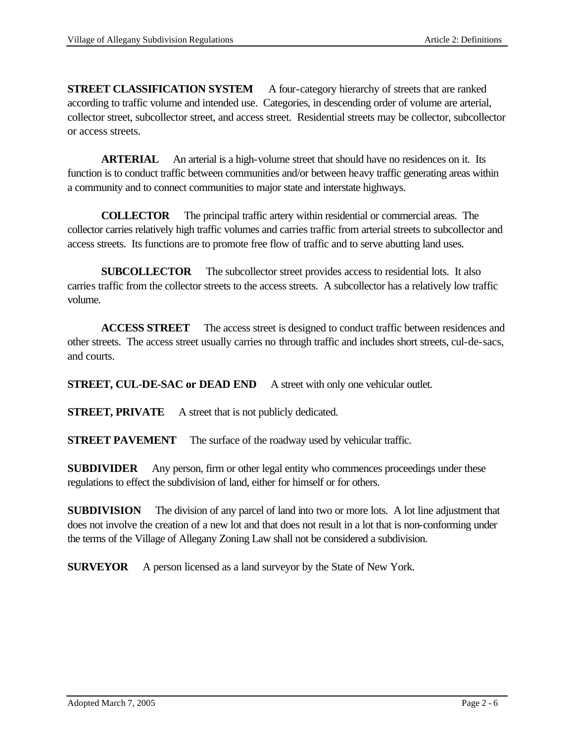**STREET CLASSIFICATION SYSTEM** A four-category hierarchy of streets that are ranked according to traffic volume and intended use. Categories, in descending order of volume are arterial, collector street, subcollector street, and access street. Residential streets may be collector, subcollector or access streets.

**ARTERIAL** An arterial is a high-volume street that should have no residences on it. Its function is to conduct traffic between communities and/or between heavy traffic generating areas within a community and to connect communities to major state and interstate highways.

**COLLECTOR** The principal traffic artery within residential or commercial areas. The collector carries relatively high traffic volumes and carries traffic from arterial streets to subcollector and access streets. Its functions are to promote free flow of traffic and to serve abutting land uses.

**SUBCOLLECTOR** The subcollector street provides access to residential lots. It also carries traffic from the collector streets to the access streets. A subcollector has a relatively low traffic volume.

**ACCESS STREET** The access street is designed to conduct traffic between residences and other streets. The access street usually carries no through traffic and includes short streets, cul-de-sacs, and courts.

**STREET, CUL-DE-SAC or DEAD END** A street with only one vehicular outlet.

**STREET, PRIVATE** A street that is not publicly dedicated.

**STREET PAVEMENT** The surface of the roadway used by vehicular traffic.

**SUBDIVIDER** Any person, firm or other legal entity who commences proceedings under these regulations to effect the subdivision of land, either for himself or for others.

**SUBDIVISION** The division of any parcel of land into two or more lots. A lot line adjustment that does not involve the creation of a new lot and that does not result in a lot that is non-conforming under the terms of the Village of Allegany Zoning Law shall not be considered a subdivision.

**SURVEYOR** A person licensed as a land surveyor by the State of New York.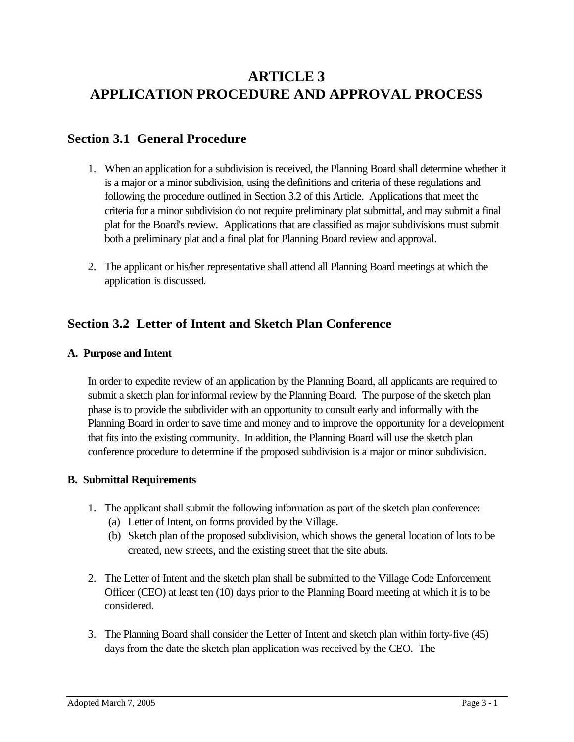# **ARTICLE 3 APPLICATION PROCEDURE AND APPROVAL PROCESS**

### **Section 3.1 General Procedure**

- 1. When an application for a subdivision is received, the Planning Board shall determine whether it is a major or a minor subdivision, using the definitions and criteria of these regulations and following the procedure outlined in Section 3.2 of this Article. Applications that meet the criteria for a minor subdivision do not require preliminary plat submittal, and may submit a final plat for the Board's review. Applications that are classified as major subdivisions must submit both a preliminary plat and a final plat for Planning Board review and approval.
- 2. The applicant or his/her representative shall attend all Planning Board meetings at which the application is discussed.

### **Section 3.2 Letter of Intent and Sketch Plan Conference**

#### **A. Purpose and Intent**

In order to expedite review of an application by the Planning Board, all applicants are required to submit a sketch plan for informal review by the Planning Board. The purpose of the sketch plan phase is to provide the subdivider with an opportunity to consult early and informally with the Planning Board in order to save time and money and to improve the opportunity for a development that fits into the existing community. In addition, the Planning Board will use the sketch plan conference procedure to determine if the proposed subdivision is a major or minor subdivision.

#### **B. Submittal Requirements**

- 1. The applicant shall submit the following information as part of the sketch plan conference:
	- (a) Letter of Intent, on forms provided by the Village.
	- (b) Sketch plan of the proposed subdivision, which shows the general location of lots to be created, new streets, and the existing street that the site abuts.
- 2. The Letter of Intent and the sketch plan shall be submitted to the Village Code Enforcement Officer (CEO) at least ten (10) days prior to the Planning Board meeting at which it is to be considered.
- 3. The Planning Board shall consider the Letter of Intent and sketch plan within forty-five (45) days from the date the sketch plan application was received by the CEO. The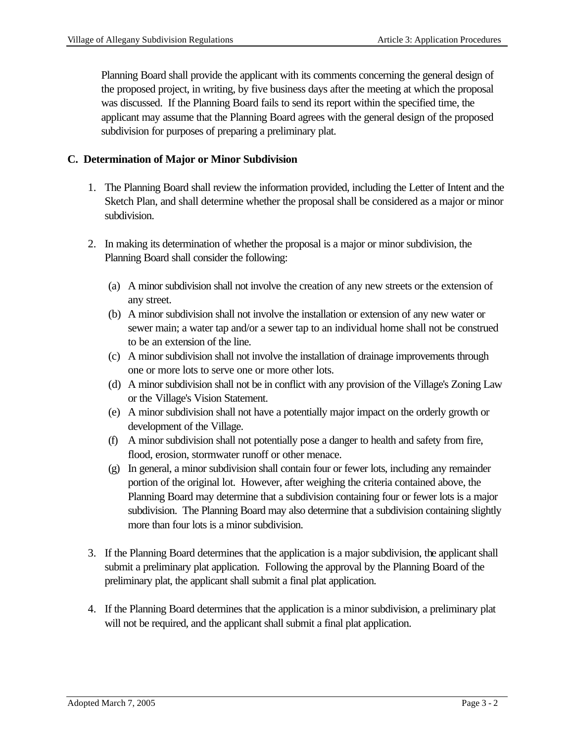Planning Board shall provide the applicant with its comments concerning the general design of the proposed project, in writing, by five business days after the meeting at which the proposal was discussed. If the Planning Board fails to send its report within the specified time, the applicant may assume that the Planning Board agrees with the general design of the proposed subdivision for purposes of preparing a preliminary plat.

#### **C. Determination of Major or Minor Subdivision**

- 1. The Planning Board shall review the information provided, including the Letter of Intent and the Sketch Plan, and shall determine whether the proposal shall be considered as a major or minor subdivision.
- 2. In making its determination of whether the proposal is a major or minor subdivision, the Planning Board shall consider the following:
	- (a) A minor subdivision shall not involve the creation of any new streets or the extension of any street.
	- (b) A minor subdivision shall not involve the installation or extension of any new water or sewer main; a water tap and/or a sewer tap to an individual home shall not be construed to be an extension of the line.
	- (c) A minor subdivision shall not involve the installation of drainage improvements through one or more lots to serve one or more other lots.
	- (d) A minor subdivision shall not be in conflict with any provision of the Village's Zoning Law or the Village's Vision Statement.
	- (e) A minor subdivision shall not have a potentially major impact on the orderly growth or development of the Village.
	- (f) A minor subdivision shall not potentially pose a danger to health and safety from fire, flood, erosion, stormwater runoff or other menace.
	- (g) In general, a minor subdivision shall contain four or fewer lots, including any remainder portion of the original lot. However, after weighing the criteria contained above, the Planning Board may determine that a subdivision containing four or fewer lots is a major subdivision. The Planning Board may also determine that a subdivision containing slightly more than four lots is a minor subdivision.
- 3. If the Planning Board determines that the application is a major subdivision, the applicant shall submit a preliminary plat application. Following the approval by the Planning Board of the preliminary plat, the applicant shall submit a final plat application.
- 4. If the Planning Board determines that the application is a minor subdivision, a preliminary plat will not be required, and the applicant shall submit a final plat application.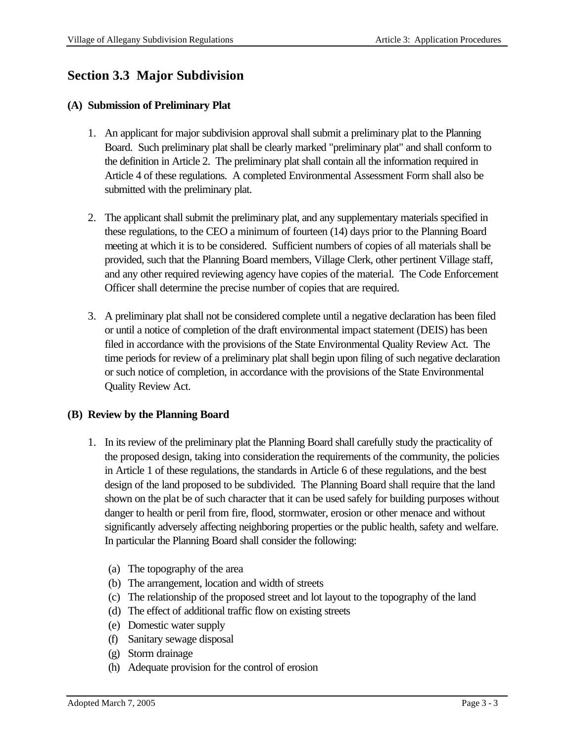# **Section 3.3 Major Subdivision**

#### **(A) Submission of Preliminary Plat**

- 1. An applicant for major subdivision approval shall submit a preliminary plat to the Planning Board. Such preliminary plat shall be clearly marked "preliminary plat" and shall conform to the definition in Article 2. The preliminary plat shall contain all the information required in Article 4 of these regulations. A completed Environmental Assessment Form shall also be submitted with the preliminary plat.
- 2. The applicant shall submit the preliminary plat, and any supplementary materials specified in these regulations, to the CEO a minimum of fourteen (14) days prior to the Planning Board meeting at which it is to be considered. Sufficient numbers of copies of all materials shall be provided, such that the Planning Board members, Village Clerk, other pertinent Village staff, and any other required reviewing agency have copies of the material. The Code Enforcement Officer shall determine the precise number of copies that are required.
- 3. A preliminary plat shall not be considered complete until a negative declaration has been filed or until a notice of completion of the draft environmental impact statement (DEIS) has been filed in accordance with the provisions of the State Environmental Quality Review Act. The time periods for review of a preliminary plat shall begin upon filing of such negative declaration or such notice of completion, in accordance with the provisions of the State Environmental Quality Review Act.

#### **(B) Review by the Planning Board**

- 1. In its review of the preliminary plat the Planning Board shall carefully study the practicality of the proposed design, taking into consideration the requirements of the community, the policies in Article 1 of these regulations, the standards in Article 6 of these regulations, and the best design of the land proposed to be subdivided. The Planning Board shall require that the land shown on the plat be of such character that it can be used safely for building purposes without danger to health or peril from fire, flood, stormwater, erosion or other menace and without significantly adversely affecting neighboring properties or the public health, safety and welfare. In particular the Planning Board shall consider the following:
	- (a) The topography of the area
	- (b) The arrangement, location and width of streets
	- (c) The relationship of the proposed street and lot layout to the topography of the land
	- (d) The effect of additional traffic flow on existing streets
	- (e) Domestic water supply
	- (f) Sanitary sewage disposal
	- (g) Storm drainage
	- (h) Adequate provision for the control of erosion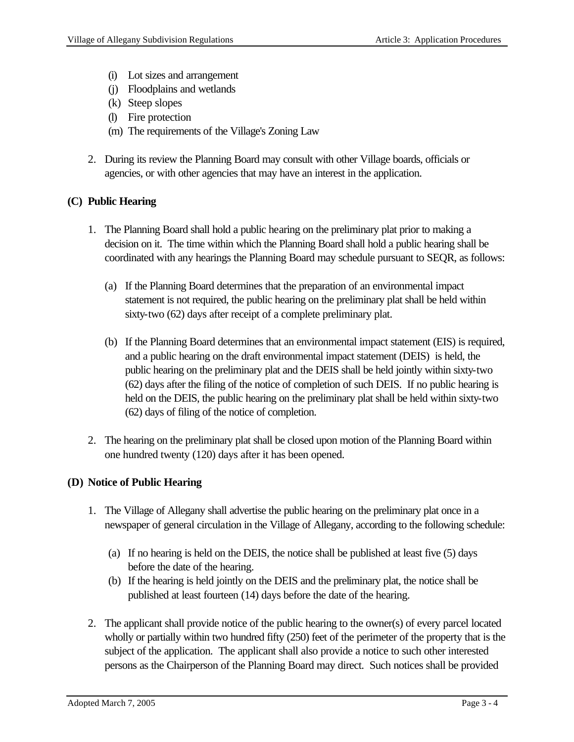- (i) Lot sizes and arrangement
- (j) Floodplains and wetlands
- (k) Steep slopes
- (l) Fire protection
- (m) The requirements of the Village's Zoning Law
- 2. During its review the Planning Board may consult with other Village boards, officials or agencies, or with other agencies that may have an interest in the application.

#### **(C) Public Hearing**

- 1. The Planning Board shall hold a public hearing on the preliminary plat prior to making a decision on it. The time within which the Planning Board shall hold a public hearing shall be coordinated with any hearings the Planning Board may schedule pursuant to SEQR, as follows:
	- (a) If the Planning Board determines that the preparation of an environmental impact statement is not required, the public hearing on the preliminary plat shall be held within sixty-two (62) days after receipt of a complete preliminary plat.
	- (b) If the Planning Board determines that an environmental impact statement (EIS) is required, and a public hearing on the draft environmental impact statement (DEIS) is held, the public hearing on the preliminary plat and the DEIS shall be held jointly within sixty-two (62) days after the filing of the notice of completion of such DEIS. If no public hearing is held on the DEIS, the public hearing on the preliminary plat shall be held within sixty-two (62) days of filing of the notice of completion.
- 2. The hearing on the preliminary plat shall be closed upon motion of the Planning Board within one hundred twenty (120) days after it has been opened.

#### **(D) Notice of Public Hearing**

- 1. The Village of Allegany shall advertise the public hearing on the preliminary plat once in a newspaper of general circulation in the Village of Allegany, according to the following schedule:
	- (a) If no hearing is held on the DEIS, the notice shall be published at least five (5) days before the date of the hearing.
	- (b) If the hearing is held jointly on the DEIS and the preliminary plat, the notice shall be published at least fourteen (14) days before the date of the hearing.
- 2. The applicant shall provide notice of the public hearing to the owner(s) of every parcel located wholly or partially within two hundred fifty (250) feet of the perimeter of the property that is the subject of the application. The applicant shall also provide a notice to such other interested persons as the Chairperson of the Planning Board may direct. Such notices shall be provided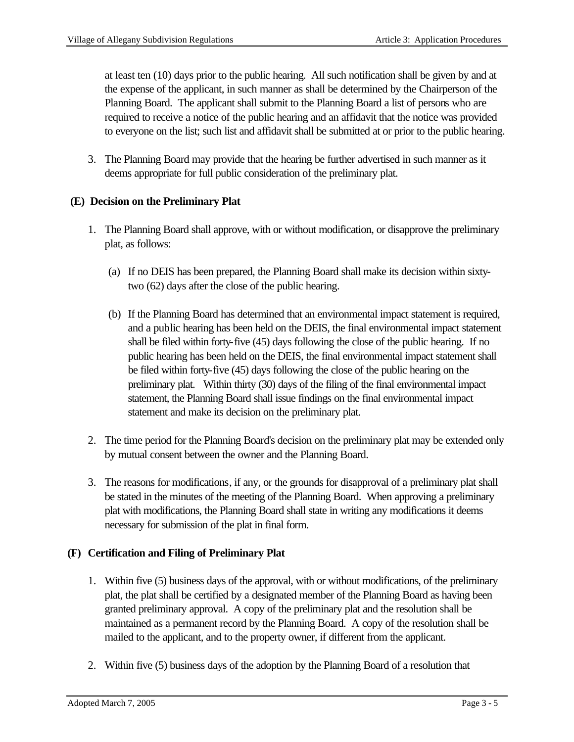at least ten (10) days prior to the public hearing. All such notification shall be given by and at the expense of the applicant, in such manner as shall be determined by the Chairperson of the Planning Board. The applicant shall submit to the Planning Board a list of persons who are required to receive a notice of the public hearing and an affidavit that the notice was provided to everyone on the list; such list and affidavit shall be submitted at or prior to the public hearing.

3. The Planning Board may provide that the hearing be further advertised in such manner as it deems appropriate for full public consideration of the preliminary plat.

#### **(E) Decision on the Preliminary Plat**

- 1. The Planning Board shall approve, with or without modification, or disapprove the preliminary plat, as follows:
	- (a) If no DEIS has been prepared, the Planning Board shall make its decision within sixtytwo (62) days after the close of the public hearing.
	- (b) If the Planning Board has determined that an environmental impact statement is required, and a public hearing has been held on the DEIS, the final environmental impact statement shall be filed within forty-five (45) days following the close of the public hearing. If no public hearing has been held on the DEIS, the final environmental impact statement shall be filed within forty-five (45) days following the close of the public hearing on the preliminary plat. Within thirty (30) days of the filing of the final environmental impact statement, the Planning Board shall issue findings on the final environmental impact statement and make its decision on the preliminary plat.
- 2. The time period for the Planning Board's decision on the preliminary plat may be extended only by mutual consent between the owner and the Planning Board.
- 3. The reasons for modifications, if any, or the grounds for disapproval of a preliminary plat shall be stated in the minutes of the meeting of the Planning Board. When approving a preliminary plat with modifications, the Planning Board shall state in writing any modifications it deems necessary for submission of the plat in final form.

#### **(F) Certification and Filing of Preliminary Plat**

- 1. Within five (5) business days of the approval, with or without modifications, of the preliminary plat, the plat shall be certified by a designated member of the Planning Board as having been granted preliminary approval. A copy of the preliminary plat and the resolution shall be maintained as a permanent record by the Planning Board. A copy of the resolution shall be mailed to the applicant, and to the property owner, if different from the applicant.
- 2. Within five (5) business days of the adoption by the Planning Board of a resolution that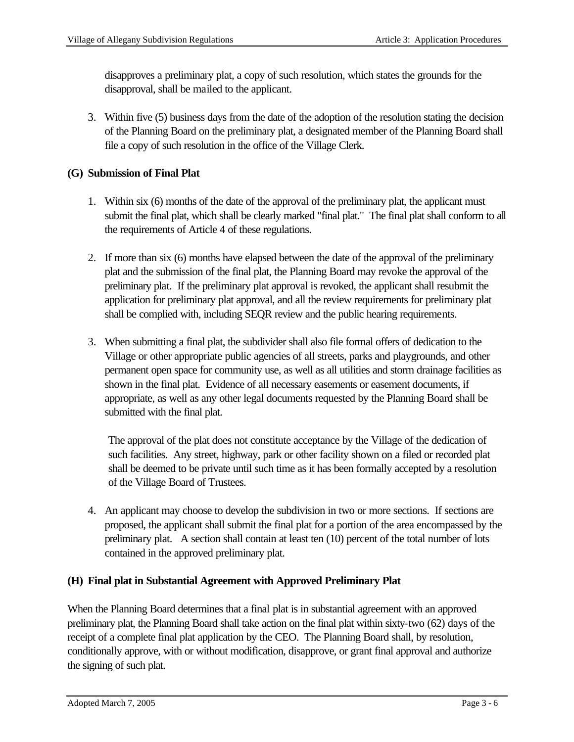disapproves a preliminary plat, a copy of such resolution, which states the grounds for the disapproval, shall be mailed to the applicant.

3. Within five (5) business days from the date of the adoption of the resolution stating the decision of the Planning Board on the preliminary plat, a designated member of the Planning Board shall file a copy of such resolution in the office of the Village Clerk.

#### **(G) Submission of Final Plat**

- 1. Within six (6) months of the date of the approval of the preliminary plat, the applicant must submit the final plat, which shall be clearly marked "final plat." The final plat shall conform to all the requirements of Article 4 of these regulations.
- 2. If more than six (6) months have elapsed between the date of the approval of the preliminary plat and the submission of the final plat, the Planning Board may revoke the approval of the preliminary plat. If the preliminary plat approval is revoked, the applicant shall resubmit the application for preliminary plat approval, and all the review requirements for preliminary plat shall be complied with, including SEQR review and the public hearing requirements.
- 3. When submitting a final plat, the subdivider shall also file formal offers of dedication to the Village or other appropriate public agencies of all streets, parks and playgrounds, and other permanent open space for community use, as well as all utilities and storm drainage facilities as shown in the final plat. Evidence of all necessary easements or easement documents, if appropriate, as well as any other legal documents requested by the Planning Board shall be submitted with the final plat.

The approval of the plat does not constitute acceptance by the Village of the dedication of such facilities. Any street, highway, park or other facility shown on a filed or recorded plat shall be deemed to be private until such time as it has been formally accepted by a resolution of the Village Board of Trustees.

4. An applicant may choose to develop the subdivision in two or more sections. If sections are proposed, the applicant shall submit the final plat for a portion of the area encompassed by the preliminary plat. A section shall contain at least ten (10) percent of the total number of lots contained in the approved preliminary plat.

#### **(H) Final plat in Substantial Agreement with Approved Preliminary Plat**

When the Planning Board determines that a final plat is in substantial agreement with an approved preliminary plat, the Planning Board shall take action on the final plat within sixty-two (62) days of the receipt of a complete final plat application by the CEO. The Planning Board shall, by resolution, conditionally approve, with or without modification, disapprove, or grant final approval and authorize the signing of such plat.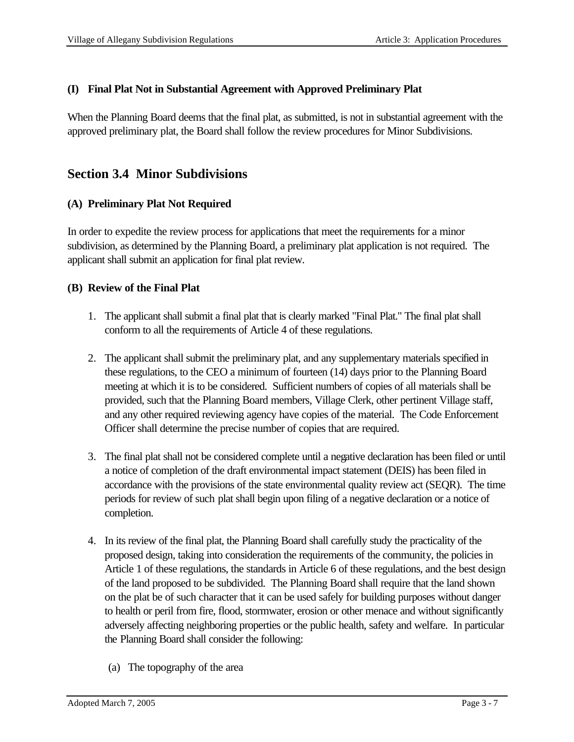#### **(I) Final Plat Not in Substantial Agreement with Approved Preliminary Plat**

When the Planning Board deems that the final plat, as submitted, is not in substantial agreement with the approved preliminary plat, the Board shall follow the review procedures for Minor Subdivisions.

### **Section 3.4 Minor Subdivisions**

#### **(A) Preliminary Plat Not Required**

In order to expedite the review process for applications that meet the requirements for a minor subdivision, as determined by the Planning Board, a preliminary plat application is not required. The applicant shall submit an application for final plat review.

#### **(B) Review of the Final Plat**

- 1. The applicant shall submit a final plat that is clearly marked "Final Plat." The final plat shall conform to all the requirements of Article 4 of these regulations.
- 2. The applicant shall submit the preliminary plat, and any supplementary materials specified in these regulations, to the CEO a minimum of fourteen (14) days prior to the Planning Board meeting at which it is to be considered. Sufficient numbers of copies of all materials shall be provided, such that the Planning Board members, Village Clerk, other pertinent Village staff, and any other required reviewing agency have copies of the material. The Code Enforcement Officer shall determine the precise number of copies that are required.
- 3. The final plat shall not be considered complete until a negative declaration has been filed or until a notice of completion of the draft environmental impact statement (DEIS) has been filed in accordance with the provisions of the state environmental quality review act (SEQR). The time periods for review of such plat shall begin upon filing of a negative declaration or a notice of completion.
- 4. In its review of the final plat, the Planning Board shall carefully study the practicality of the proposed design, taking into consideration the requirements of the community, the policies in Article 1 of these regulations, the standards in Article 6 of these regulations, and the best design of the land proposed to be subdivided. The Planning Board shall require that the land shown on the plat be of such character that it can be used safely for building purposes without danger to health or peril from fire, flood, stormwater, erosion or other menace and without significantly adversely affecting neighboring properties or the public health, safety and welfare. In particular the Planning Board shall consider the following:
	- (a) The topography of the area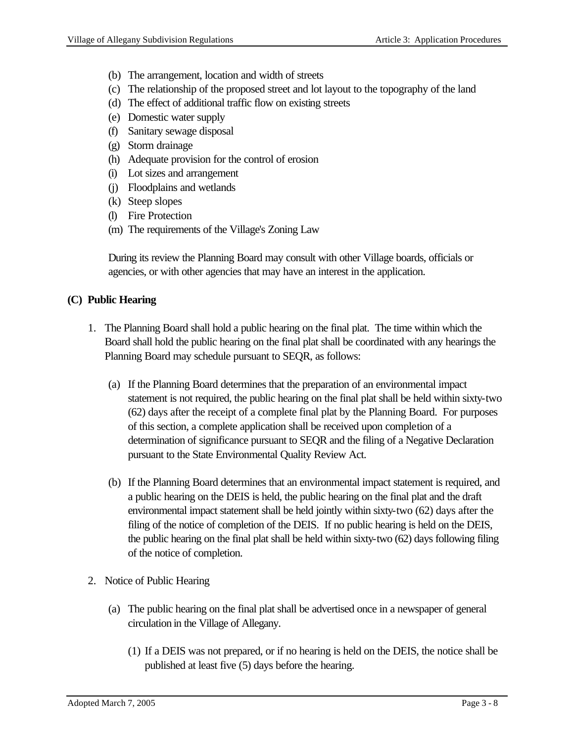- (b) The arrangement, location and width of streets
- (c) The relationship of the proposed street and lot layout to the topography of the land
- (d) The effect of additional traffic flow on existing streets
- (e) Domestic water supply
- (f) Sanitary sewage disposal
- (g) Storm drainage
- (h) Adequate provision for the control of erosion
- (i) Lot sizes and arrangement
- (j) Floodplains and wetlands
- (k) Steep slopes
- (l) Fire Protection
- (m) The requirements of the Village's Zoning Law

During its review the Planning Board may consult with other Village boards, officials or agencies, or with other agencies that may have an interest in the application.

#### **(C) Public Hearing**

- 1. The Planning Board shall hold a public hearing on the final plat. The time within which the Board shall hold the public hearing on the final plat shall be coordinated with any hearings the Planning Board may schedule pursuant to SEQR, as follows:
	- (a) If the Planning Board determines that the preparation of an environmental impact statement is not required, the public hearing on the final plat shall be held within sixty-two (62) days after the receipt of a complete final plat by the Planning Board. For purposes of this section, a complete application shall be received upon completion of a determination of significance pursuant to SEQR and the filing of a Negative Declaration pursuant to the State Environmental Quality Review Act.
	- (b) If the Planning Board determines that an environmental impact statement is required, and a public hearing on the DEIS is held, the public hearing on the final plat and the draft environmental impact statement shall be held jointly within sixty-two (62) days after the filing of the notice of completion of the DEIS. If no public hearing is held on the DEIS, the public hearing on the final plat shall be held within sixty-two (62) days following filing of the notice of completion.
- 2. Notice of Public Hearing
	- (a) The public hearing on the final plat shall be advertised once in a newspaper of general circulation in the Village of Allegany.
		- (1) If a DEIS was not prepared, or if no hearing is held on the DEIS, the notice shall be published at least five (5) days before the hearing.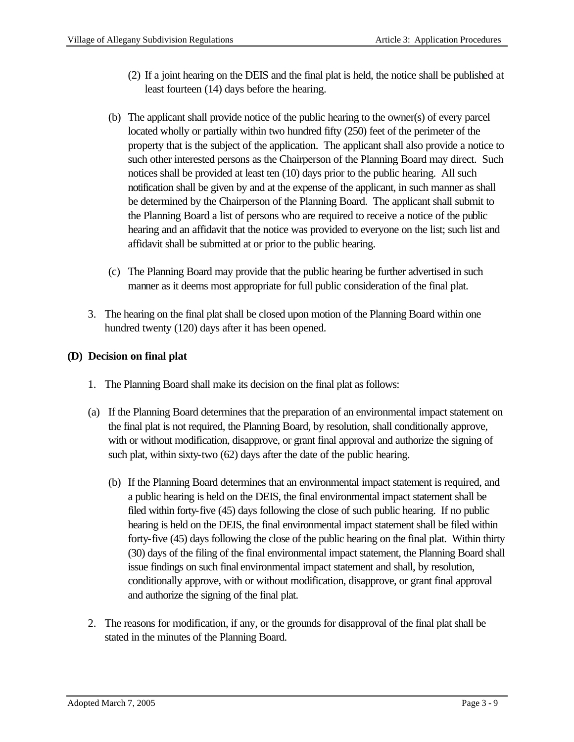- (2) If a joint hearing on the DEIS and the final plat is held, the notice shall be published at least fourteen (14) days before the hearing.
- (b) The applicant shall provide notice of the public hearing to the owner(s) of every parcel located wholly or partially within two hundred fifty (250) feet of the perimeter of the property that is the subject of the application. The applicant shall also provide a notice to such other interested persons as the Chairperson of the Planning Board may direct. Such notices shall be provided at least ten (10) days prior to the public hearing. All such notification shall be given by and at the expense of the applicant, in such manner as shall be determined by the Chairperson of the Planning Board. The applicant shall submit to the Planning Board a list of persons who are required to receive a notice of the public hearing and an affidavit that the notice was provided to everyone on the list; such list and affidavit shall be submitted at or prior to the public hearing.
- (c) The Planning Board may provide that the public hearing be further advertised in such manner as it deems most appropriate for full public consideration of the final plat.
- 3. The hearing on the final plat shall be closed upon motion of the Planning Board within one hundred twenty (120) days after it has been opened.

#### **(D) Decision on final plat**

- 1. The Planning Board shall make its decision on the final plat as follows:
- (a) If the Planning Board determines that the preparation of an environmental impact statement on the final plat is not required, the Planning Board, by resolution, shall conditionally approve, with or without modification, disapprove, or grant final approval and authorize the signing of such plat, within sixty-two (62) days after the date of the public hearing.
	- (b) If the Planning Board determines that an environmental impact statement is required, and a public hearing is held on the DEIS, the final environmental impact statement shall be filed within forty-five (45) days following the close of such public hearing. If no public hearing is held on the DEIS, the final environmental impact statement shall be filed within forty-five (45) days following the close of the public hearing on the final plat. Within thirty (30) days of the filing of the final environmental impact statement, the Planning Board shall issue findings on such final environmental impact statement and shall, by resolution, conditionally approve, with or without modification, disapprove, or grant final approval and authorize the signing of the final plat.
- 2. The reasons for modification, if any, or the grounds for disapproval of the final plat shall be stated in the minutes of the Planning Board.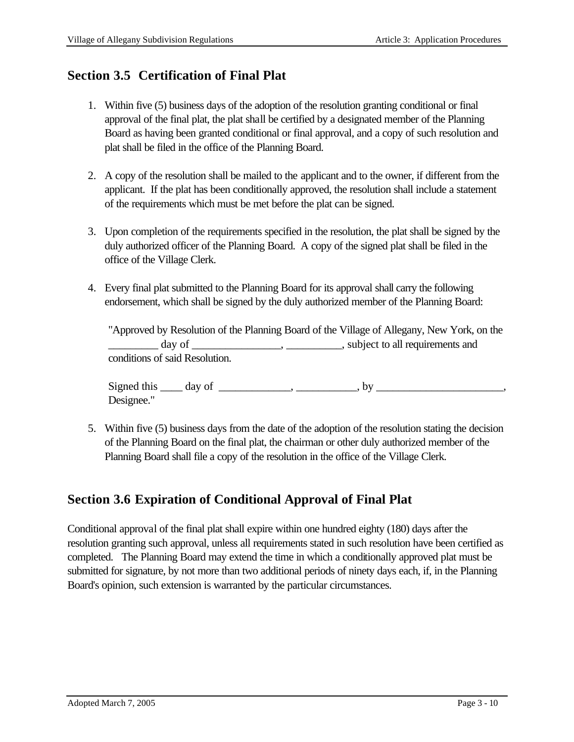# **Section 3.5 Certification of Final Plat**

- 1. Within five (5) business days of the adoption of the resolution granting conditional or final approval of the final plat, the plat shall be certified by a designated member of the Planning Board as having been granted conditional or final approval, and a copy of such resolution and plat shall be filed in the office of the Planning Board.
- 2. A copy of the resolution shall be mailed to the applicant and to the owner, if different from the applicant. If the plat has been conditionally approved, the resolution shall include a statement of the requirements which must be met before the plat can be signed.
- 3. Upon completion of the requirements specified in the resolution, the plat shall be signed by the duly authorized officer of the Planning Board. A copy of the signed plat shall be filed in the office of the Village Clerk.
- 4. Every final plat submitted to the Planning Board for its approval shall carry the following endorsement, which shall be signed by the duly authorized member of the Planning Board:

|                                | "Approved by Resolution of the Planning Board of the Village of Allegany, New York, on the |
|--------------------------------|--------------------------------------------------------------------------------------------|
| day of                         | , subject to all requirements and                                                          |
| conditions of said Resolution. |                                                                                            |

Signed this  $\_\_\_$  day of  $\_\_\_\_\_\_\_\_\$ ,  $\_\_\_\_\_\_$ , by  $\_\_\_\_\_\_\_\_\_\_\_$ Designee."

5. Within five (5) business days from the date of the adoption of the resolution stating the decision of the Planning Board on the final plat, the chairman or other duly authorized member of the Planning Board shall file a copy of the resolution in the office of the Village Clerk.

# **Section 3.6 Expiration of Conditional Approval of Final Plat**

Conditional approval of the final plat shall expire within one hundred eighty (180) days after the resolution granting such approval, unless all requirements stated in such resolution have been certified as completed. The Planning Board may extend the time in which a conditionally approved plat must be submitted for signature, by not more than two additional periods of ninety days each, if, in the Planning Board's opinion, such extension is warranted by the particular circumstances.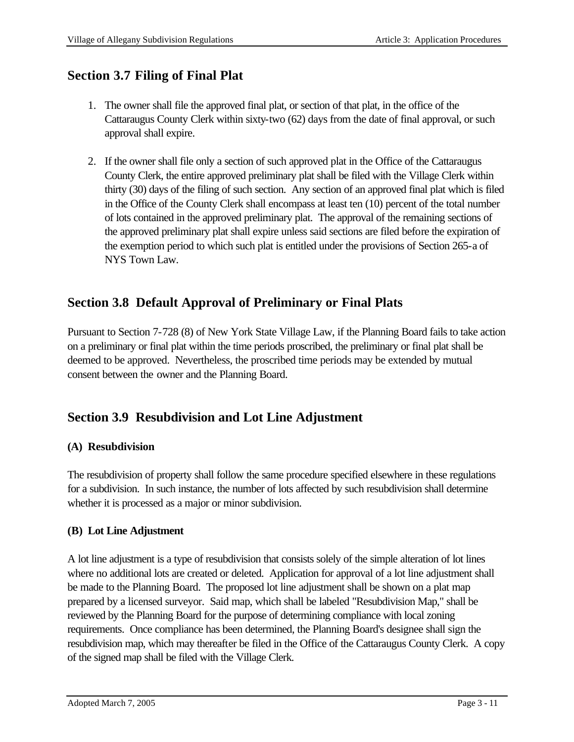# **Section 3.7 Filing of Final Plat**

- 1. The owner shall file the approved final plat, or section of that plat, in the office of the Cattaraugus County Clerk within sixty-two (62) days from the date of final approval, or such approval shall expire.
- 2. If the owner shall file only a section of such approved plat in the Office of the Cattaraugus County Clerk, the entire approved preliminary plat shall be filed with the Village Clerk within thirty (30) days of the filing of such section. Any section of an approved final plat which is filed in the Office of the County Clerk shall encompass at least ten (10) percent of the total number of lots contained in the approved preliminary plat. The approval of the remaining sections of the approved preliminary plat shall expire unless said sections are filed before the expiration of the exemption period to which such plat is entitled under the provisions of Section 265-a of NYS Town Law.

# **Section 3.8 Default Approval of Preliminary or Final Plats**

Pursuant to Section 7-728 (8) of New York State Village Law, if the Planning Board fails to take action on a preliminary or final plat within the time periods proscribed, the preliminary or final plat shall be deemed to be approved. Nevertheless, the proscribed time periods may be extended by mutual consent between the owner and the Planning Board.

# **Section 3.9 Resubdivision and Lot Line Adjustment**

#### **(A) Resubdivision**

The resubdivision of property shall follow the same procedure specified elsewhere in these regulations for a subdivision. In such instance, the number of lots affected by such resubdivision shall determine whether it is processed as a major or minor subdivision.

#### **(B) Lot Line Adjustment**

A lot line adjustment is a type of resubdivision that consists solely of the simple alteration of lot lines where no additional lots are created or deleted. Application for approval of a lot line adjustment shall be made to the Planning Board. The proposed lot line adjustment shall be shown on a plat map prepared by a licensed surveyor. Said map, which shall be labeled "Resubdivision Map," shall be reviewed by the Planning Board for the purpose of determining compliance with local zoning requirements. Once compliance has been determined, the Planning Board's designee shall sign the resubdivision map, which may thereafter be filed in the Office of the Cattaraugus County Clerk. A copy of the signed map shall be filed with the Village Clerk.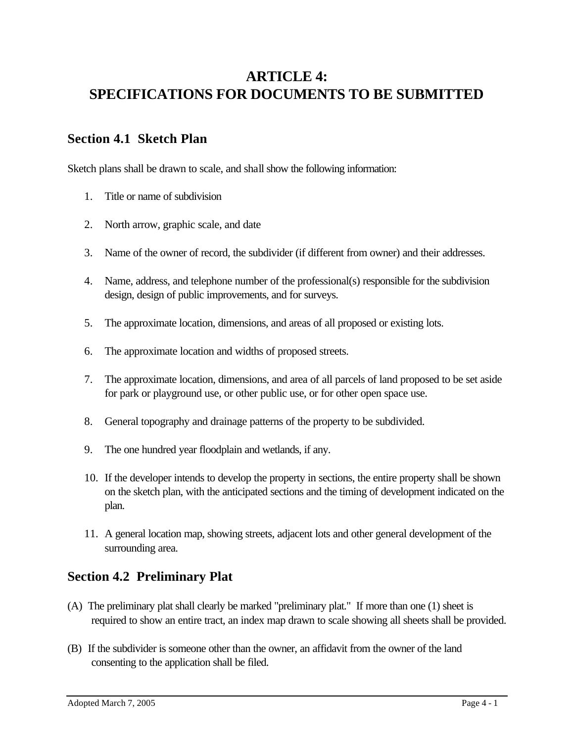# **ARTICLE 4: SPECIFICATIONS FOR DOCUMENTS TO BE SUBMITTED**

### **Section 4.1 Sketch Plan**

Sketch plans shall be drawn to scale, and shall show the following information:

- 1. Title or name of subdivision
- 2. North arrow, graphic scale, and date
- 3. Name of the owner of record, the subdivider (if different from owner) and their addresses.
- 4. Name, address, and telephone number of the professional(s) responsible for the subdivision design, design of public improvements, and for surveys.
- 5. The approximate location, dimensions, and areas of all proposed or existing lots.
- 6. The approximate location and widths of proposed streets.
- 7. The approximate location, dimensions, and area of all parcels of land proposed to be set aside for park or playground use, or other public use, or for other open space use.
- 8. General topography and drainage patterns of the property to be subdivided.
- 9. The one hundred year floodplain and wetlands, if any.
- 10. If the developer intends to develop the property in sections, the entire property shall be shown on the sketch plan, with the anticipated sections and the timing of development indicated on the plan.
- 11. A general location map, showing streets, adjacent lots and other general development of the surrounding area.

# **Section 4.2 Preliminary Plat**

- (A) The preliminary plat shall clearly be marked "preliminary plat." If more than one (1) sheet is required to show an entire tract, an index map drawn to scale showing all sheets shall be provided.
- (B) If the subdivider is someone other than the owner, an affidavit from the owner of the land consenting to the application shall be filed.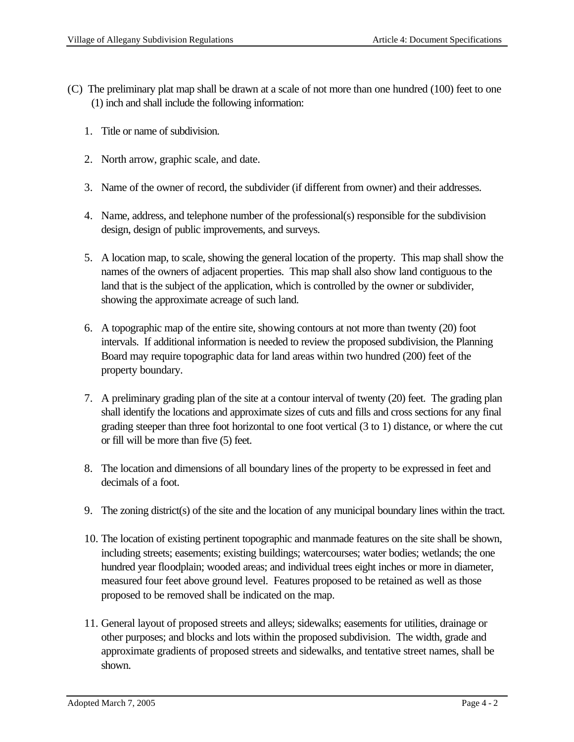- (C) The preliminary plat map shall be drawn at a scale of not more than one hundred (100) feet to one (1) inch and shall include the following information:
	- 1. Title or name of subdivision.
	- 2. North arrow, graphic scale, and date.
	- 3. Name of the owner of record, the subdivider (if different from owner) and their addresses.
	- 4. Name, address, and telephone number of the professional(s) responsible for the subdivision design, design of public improvements, and surveys.
	- 5. A location map, to scale, showing the general location of the property. This map shall show the names of the owners of adjacent properties. This map shall also show land contiguous to the land that is the subject of the application, which is controlled by the owner or subdivider, showing the approximate acreage of such land.
	- 6. A topographic map of the entire site, showing contours at not more than twenty (20) foot intervals. If additional information is needed to review the proposed subdivision, the Planning Board may require topographic data for land areas within two hundred (200) feet of the property boundary.
	- 7. A preliminary grading plan of the site at a contour interval of twenty (20) feet. The grading plan shall identify the locations and approximate sizes of cuts and fills and cross sections for any final grading steeper than three foot horizontal to one foot vertical (3 to 1) distance, or where the cut or fill will be more than five (5) feet.
	- 8. The location and dimensions of all boundary lines of the property to be expressed in feet and decimals of a foot.
	- 9. The zoning district(s) of the site and the location of any municipal boundary lines within the tract.
	- 10. The location of existing pertinent topographic and manmade features on the site shall be shown, including streets; easements; existing buildings; watercourses; water bodies; wetlands; the one hundred year floodplain; wooded areas; and individual trees eight inches or more in diameter, measured four feet above ground level. Features proposed to be retained as well as those proposed to be removed shall be indicated on the map.
	- 11. General layout of proposed streets and alleys; sidewalks; easements for utilities, drainage or other purposes; and blocks and lots within the proposed subdivision. The width, grade and approximate gradients of proposed streets and sidewalks, and tentative street names, shall be shown.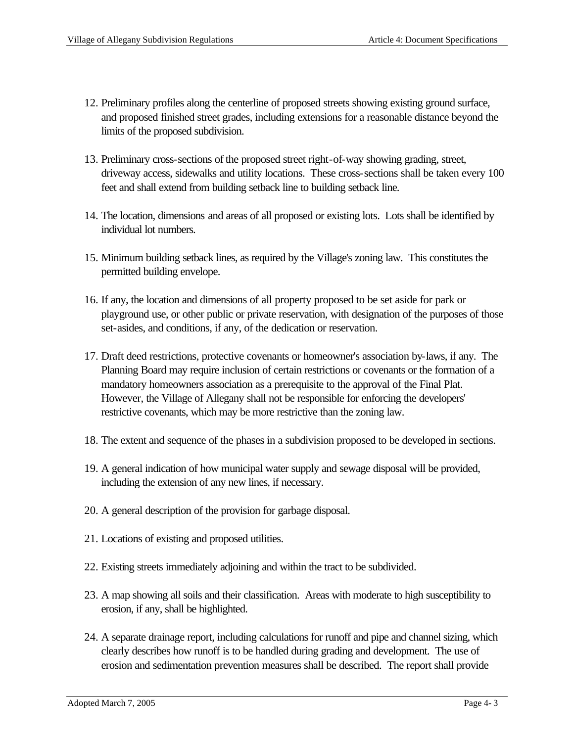- 12. Preliminary profiles along the centerline of proposed streets showing existing ground surface, and proposed finished street grades, including extensions for a reasonable distance beyond the limits of the proposed subdivision.
- 13. Preliminary cross-sections of the proposed street right-of-way showing grading, street, driveway access, sidewalks and utility locations. These cross-sections shall be taken every 100 feet and shall extend from building setback line to building setback line.
- 14. The location, dimensions and areas of all proposed or existing lots. Lots shall be identified by individual lot numbers.
- 15. Minimum building setback lines, as required by the Village's zoning law. This constitutes the permitted building envelope.
- 16. If any, the location and dimensions of all property proposed to be set aside for park or playground use, or other public or private reservation, with designation of the purposes of those set-asides, and conditions, if any, of the dedication or reservation.
- 17. Draft deed restrictions, protective covenants or homeowner's association by-laws, if any. The Planning Board may require inclusion of certain restrictions or covenants or the formation of a mandatory homeowners association as a prerequisite to the approval of the Final Plat. However, the Village of Allegany shall not be responsible for enforcing the developers' restrictive covenants, which may be more restrictive than the zoning law.
- 18. The extent and sequence of the phases in a subdivision proposed to be developed in sections.
- 19. A general indication of how municipal water supply and sewage disposal will be provided, including the extension of any new lines, if necessary.
- 20. A general description of the provision for garbage disposal.
- 21. Locations of existing and proposed utilities.
- 22. Existing streets immediately adjoining and within the tract to be subdivided.
- 23. A map showing all soils and their classification. Areas with moderate to high susceptibility to erosion, if any, shall be highlighted.
- 24. A separate drainage report, including calculations for runoff and pipe and channel sizing, which clearly describes how runoff is to be handled during grading and development. The use of erosion and sedimentation prevention measures shall be described. The report shall provide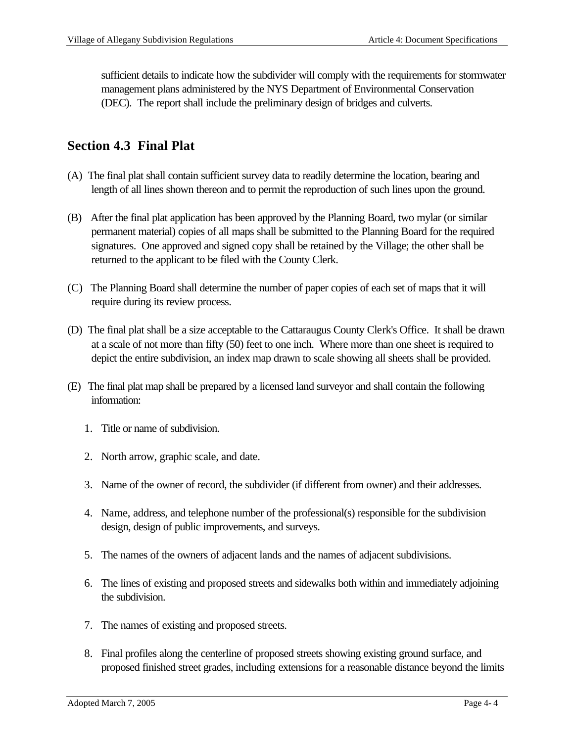sufficient details to indicate how the subdivider will comply with the requirements for stormwater management plans administered by the NYS Department of Environmental Conservation (DEC). The report shall include the preliminary design of bridges and culverts.

### **Section 4.3 Final Plat**

- (A) The final plat shall contain sufficient survey data to readily determine the location, bearing and length of all lines shown thereon and to permit the reproduction of such lines upon the ground.
- (B) After the final plat application has been approved by the Planning Board, two mylar (or similar permanent material) copies of all maps shall be submitted to the Planning Board for the required signatures. One approved and signed copy shall be retained by the Village; the other shall be returned to the applicant to be filed with the County Clerk.
- (C) The Planning Board shall determine the number of paper copies of each set of maps that it will require during its review process.
- (D) The final plat shall be a size acceptable to the Cattaraugus County Clerk's Office. It shall be drawn at a scale of not more than fifty (50) feet to one inch. Where more than one sheet is required to depict the entire subdivision, an index map drawn to scale showing all sheets shall be provided.
- (E) The final plat map shall be prepared by a licensed land surveyor and shall contain the following information:
	- 1. Title or name of subdivision.
	- 2. North arrow, graphic scale, and date.
	- 3. Name of the owner of record, the subdivider (if different from owner) and their addresses.
	- 4. Name, address, and telephone number of the professional(s) responsible for the subdivision design, design of public improvements, and surveys.
	- 5. The names of the owners of adjacent lands and the names of adjacent subdivisions.
	- 6. The lines of existing and proposed streets and sidewalks both within and immediately adjoining the subdivision.
	- 7. The names of existing and proposed streets.
	- 8. Final profiles along the centerline of proposed streets showing existing ground surface, and proposed finished street grades, including extensions for a reasonable distance beyond the limits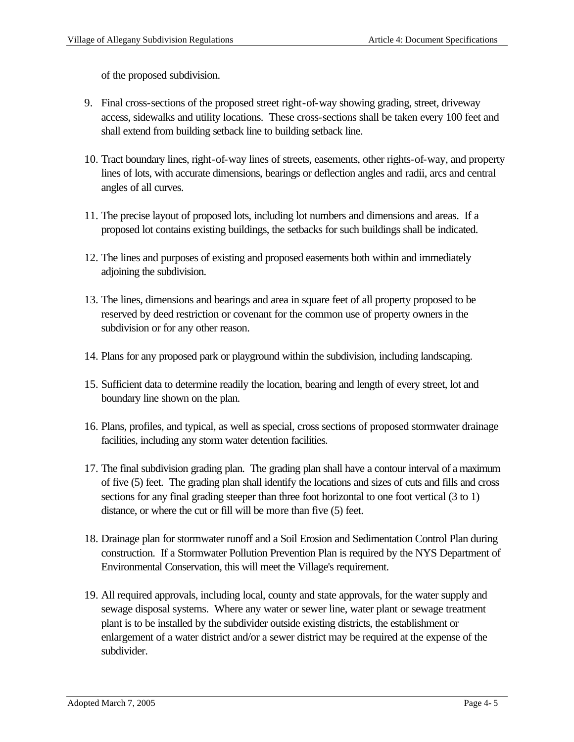of the proposed subdivision.

- 9. Final cross-sections of the proposed street right-of-way showing grading, street, driveway access, sidewalks and utility locations. These cross-sections shall be taken every 100 feet and shall extend from building setback line to building setback line.
- 10. Tract boundary lines, right-of-way lines of streets, easements, other rights-of-way, and property lines of lots, with accurate dimensions, bearings or deflection angles and radii, arcs and central angles of all curves.
- 11. The precise layout of proposed lots, including lot numbers and dimensions and areas. If a proposed lot contains existing buildings, the setbacks for such buildings shall be indicated.
- 12. The lines and purposes of existing and proposed easements both within and immediately adjoining the subdivision.
- 13. The lines, dimensions and bearings and area in square feet of all property proposed to be reserved by deed restriction or covenant for the common use of property owners in the subdivision or for any other reason.
- 14. Plans for any proposed park or playground within the subdivision, including landscaping.
- 15. Sufficient data to determine readily the location, bearing and length of every street, lot and boundary line shown on the plan.
- 16. Plans, profiles, and typical, as well as special, cross sections of proposed stormwater drainage facilities, including any storm water detention facilities.
- 17. The final subdivision grading plan. The grading plan shall have a contour interval of a maximum of five (5) feet. The grading plan shall identify the locations and sizes of cuts and fills and cross sections for any final grading steeper than three foot horizontal to one foot vertical  $(3 \text{ to } 1)$ distance, or where the cut or fill will be more than five (5) feet.
- 18. Drainage plan for stormwater runoff and a Soil Erosion and Sedimentation Control Plan during construction. If a Stormwater Pollution Prevention Plan is required by the NYS Department of Environmental Conservation, this will meet the Village's requirement.
- 19. All required approvals, including local, county and state approvals, for the water supply and sewage disposal systems. Where any water or sewer line, water plant or sewage treatment plant is to be installed by the subdivider outside existing districts, the establishment or enlargement of a water district and/or a sewer district may be required at the expense of the subdivider.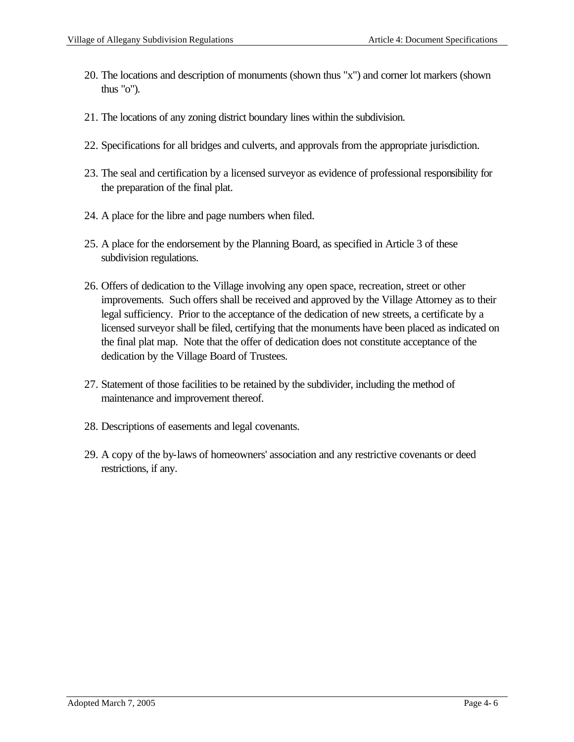- 20. The locations and description of monuments (shown thus "x") and corner lot markers (shown thus "o").
- 21. The locations of any zoning district boundary lines within the subdivision.
- 22. Specifications for all bridges and culverts, and approvals from the appropriate jurisdiction.
- 23. The seal and certification by a licensed surveyor as evidence of professional responsibility for the preparation of the final plat.
- 24. A place for the libre and page numbers when filed.
- 25. A place for the endorsement by the Planning Board, as specified in Article 3 of these subdivision regulations.
- 26. Offers of dedication to the Village involving any open space, recreation, street or other improvements. Such offers shall be received and approved by the Village Attorney as to their legal sufficiency. Prior to the acceptance of the dedication of new streets, a certificate by a licensed surveyor shall be filed, certifying that the monuments have been placed as indicated on the final plat map. Note that the offer of dedication does not constitute acceptance of the dedication by the Village Board of Trustees.
- 27. Statement of those facilities to be retained by the subdivider, including the method of maintenance and improvement thereof.
- 28. Descriptions of easements and legal covenants.
- 29. A copy of the by-laws of homeowners' association and any restrictive covenants or deed restrictions, if any.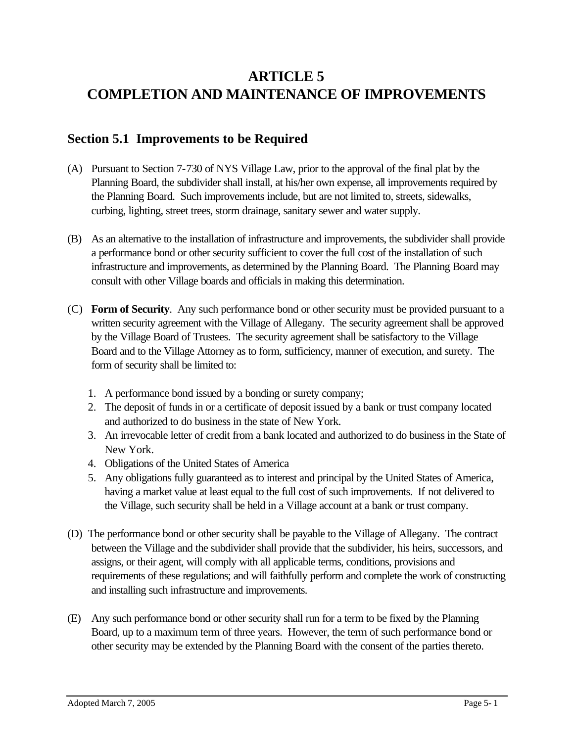# **ARTICLE 5 COMPLETION AND MAINTENANCE OF IMPROVEMENTS**

### **Section 5.1 Improvements to be Required**

- (A) Pursuant to Section 7-730 of NYS Village Law, prior to the approval of the final plat by the Planning Board, the subdivider shall install, at his/her own expense, all improvements required by the Planning Board. Such improvements include, but are not limited to, streets, sidewalks, curbing, lighting, street trees, storm drainage, sanitary sewer and water supply.
- (B) As an alternative to the installation of infrastructure and improvements, the subdivider shall provide a performance bond or other security sufficient to cover the full cost of the installation of such infrastructure and improvements, as determined by the Planning Board. The Planning Board may consult with other Village boards and officials in making this determination.
- (C) **Form of Security**. Any such performance bond or other security must be provided pursuant to a written security agreement with the Village of Allegany. The security agreement shall be approved by the Village Board of Trustees. The security agreement shall be satisfactory to the Village Board and to the Village Attorney as to form, sufficiency, manner of execution, and surety. The form of security shall be limited to:
	- 1. A performance bond issued by a bonding or surety company;
	- 2. The deposit of funds in or a certificate of deposit issued by a bank or trust company located and authorized to do business in the state of New York.
	- 3. An irrevocable letter of credit from a bank located and authorized to do business in the State of New York.
	- 4. Obligations of the United States of America
	- 5. Any obligations fully guaranteed as to interest and principal by the United States of America, having a market value at least equal to the full cost of such improvements. If not delivered to the Village, such security shall be held in a Village account at a bank or trust company.
- (D) The performance bond or other security shall be payable to the Village of Allegany. The contract between the Village and the subdivider shall provide that the subdivider, his heirs, successors, and assigns, or their agent, will comply with all applicable terms, conditions, provisions and requirements of these regulations; and will faithfully perform and complete the work of constructing and installing such infrastructure and improvements.
- (E) Any such performance bond or other security shall run for a term to be fixed by the Planning Board, up to a maximum term of three years. However, the term of such performance bond or other security may be extended by the Planning Board with the consent of the parties thereto.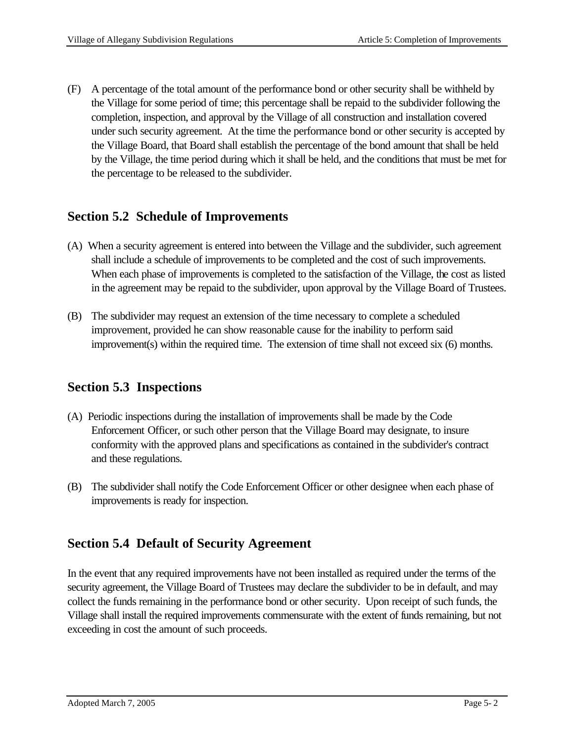(F) A percentage of the total amount of the performance bond or other security shall be withheld by the Village for some period of time; this percentage shall be repaid to the subdivider following the completion, inspection, and approval by the Village of all construction and installation covered under such security agreement. At the time the performance bond or other security is accepted by the Village Board, that Board shall establish the percentage of the bond amount that shall be held by the Village, the time period during which it shall be held, and the conditions that must be met for the percentage to be released to the subdivider.

### **Section 5.2 Schedule of Improvements**

- (A) When a security agreement is entered into between the Village and the subdivider, such agreement shall include a schedule of improvements to be completed and the cost of such improvements. When each phase of improvements is completed to the satisfaction of the Village, the cost as listed in the agreement may be repaid to the subdivider, upon approval by the Village Board of Trustees.
- (B) The subdivider may request an extension of the time necessary to complete a scheduled improvement, provided he can show reasonable cause for the inability to perform said improvement(s) within the required time. The extension of time shall not exceed six (6) months.

# **Section 5.3 Inspections**

- (A) Periodic inspections during the installation of improvements shall be made by the Code Enforcement Officer, or such other person that the Village Board may designate, to insure conformity with the approved plans and specifications as contained in the subdivider's contract and these regulations.
- (B) The subdivider shall notify the Code Enforcement Officer or other designee when each phase of improvements is ready for inspection.

# **Section 5.4 Default of Security Agreement**

In the event that any required improvements have not been installed as required under the terms of the security agreement, the Village Board of Trustees may declare the subdivider to be in default, and may collect the funds remaining in the performance bond or other security. Upon receipt of such funds, the Village shall install the required improvements commensurate with the extent of funds remaining, but not exceeding in cost the amount of such proceeds.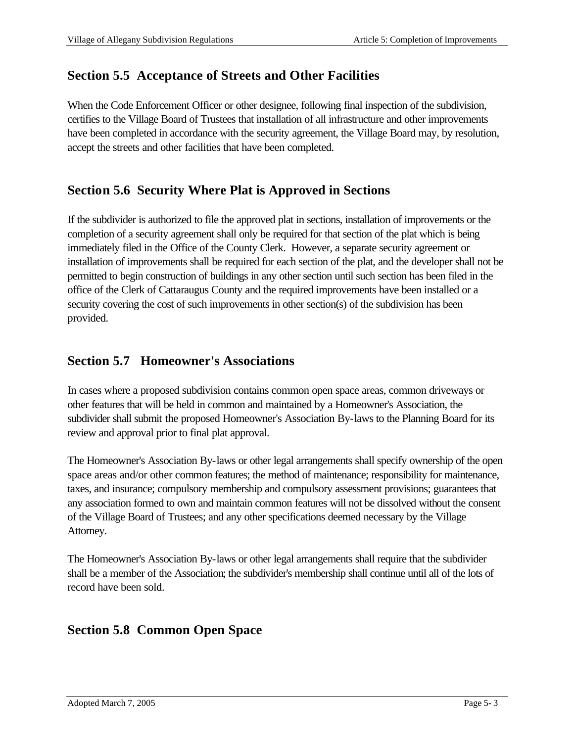# **Section 5.5 Acceptance of Streets and Other Facilities**

When the Code Enforcement Officer or other designee, following final inspection of the subdivision, certifies to the Village Board of Trustees that installation of all infrastructure and other improvements have been completed in accordance with the security agreement, the Village Board may, by resolution, accept the streets and other facilities that have been completed.

## **Section 5.6 Security Where Plat is Approved in Sections**

If the subdivider is authorized to file the approved plat in sections, installation of improvements or the completion of a security agreement shall only be required for that section of the plat which is being immediately filed in the Office of the County Clerk. However, a separate security agreement or installation of improvements shall be required for each section of the plat, and the developer shall not be permitted to begin construction of buildings in any other section until such section has been filed in the office of the Clerk of Cattaraugus County and the required improvements have been installed or a security covering the cost of such improvements in other section(s) of the subdivision has been provided.

### **Section 5.7 Homeowner's Associations**

In cases where a proposed subdivision contains common open space areas, common driveways or other features that will be held in common and maintained by a Homeowner's Association, the subdivider shall submit the proposed Homeowner's Association By-laws to the Planning Board for its review and approval prior to final plat approval.

The Homeowner's Association By-laws or other legal arrangements shall specify ownership of the open space areas and/or other common features; the method of maintenance; responsibility for maintenance, taxes, and insurance; compulsory membership and compulsory assessment provisions; guarantees that any association formed to own and maintain common features will not be dissolved without the consent of the Village Board of Trustees; and any other specifications deemed necessary by the Village Attorney.

The Homeowner's Association By-laws or other legal arrangements shall require that the subdivider shall be a member of the Association; the subdivider's membership shall continue until all of the lots of record have been sold.

# **Section 5.8 Common Open Space**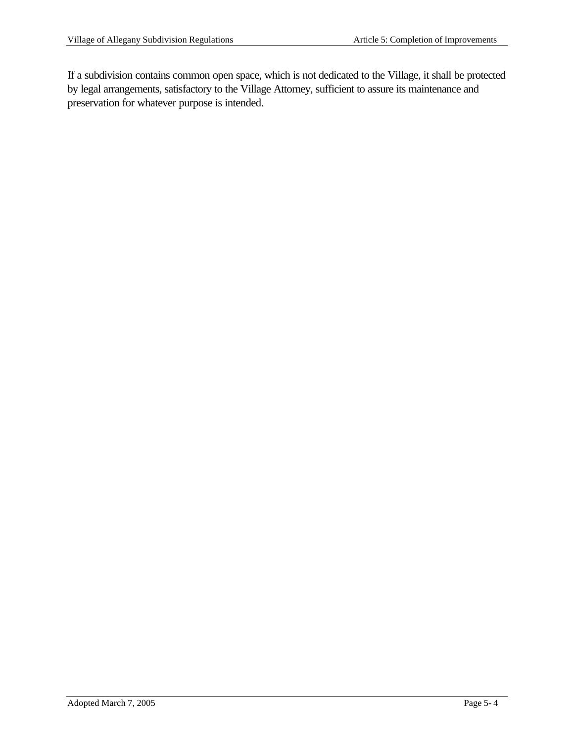If a subdivision contains common open space, which is not dedicated to the Village, it shall be protected by legal arrangements, satisfactory to the Village Attorney, sufficient to assure its maintenance and preservation for whatever purpose is intended.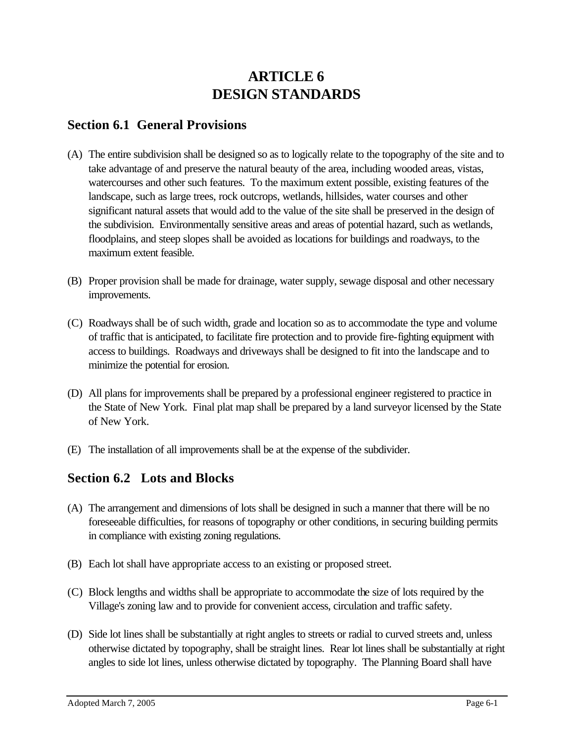# **ARTICLE 6 DESIGN STANDARDS**

### **Section 6.1 General Provisions**

- (A) The entire subdivision shall be designed so as to logically relate to the topography of the site and to take advantage of and preserve the natural beauty of the area, including wooded areas, vistas, watercourses and other such features. To the maximum extent possible, existing features of the landscape, such as large trees, rock outcrops, wetlands, hillsides, water courses and other significant natural assets that would add to the value of the site shall be preserved in the design of the subdivision. Environmentally sensitive areas and areas of potential hazard, such as wetlands, floodplains, and steep slopes shall be avoided as locations for buildings and roadways, to the maximum extent feasible.
- (B) Proper provision shall be made for drainage, water supply, sewage disposal and other necessary improvements.
- (C) Roadways shall be of such width, grade and location so as to accommodate the type and volume of traffic that is anticipated, to facilitate fire protection and to provide fire-fighting equipment with access to buildings. Roadways and driveways shall be designed to fit into the landscape and to minimize the potential for erosion.
- (D) All plans for improvements shall be prepared by a professional engineer registered to practice in the State of New York. Final plat map shall be prepared by a land surveyor licensed by the State of New York.
- (E) The installation of all improvements shall be at the expense of the subdivider.

# **Section 6.2 Lots and Blocks**

- (A) The arrangement and dimensions of lots shall be designed in such a manner that there will be no foreseeable difficulties, for reasons of topography or other conditions, in securing building permits in compliance with existing zoning regulations.
- (B) Each lot shall have appropriate access to an existing or proposed street.
- (C) Block lengths and widths shall be appropriate to accommodate the size of lots required by the Village's zoning law and to provide for convenient access, circulation and traffic safety.
- (D) Side lot lines shall be substantially at right angles to streets or radial to curved streets and, unless otherwise dictated by topography, shall be straight lines. Rear lot lines shall be substantially at right angles to side lot lines, unless otherwise dictated by topography. The Planning Board shall have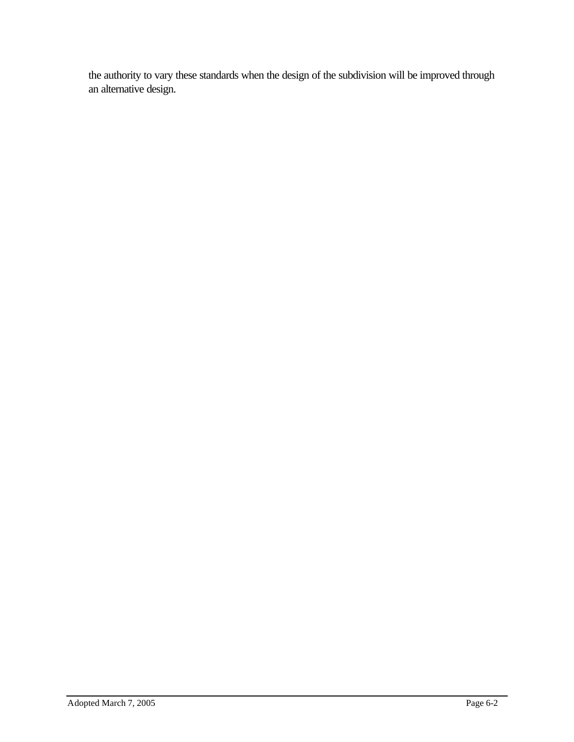the authority to vary these standards when the design of the subdivision will be improved through an alternative design.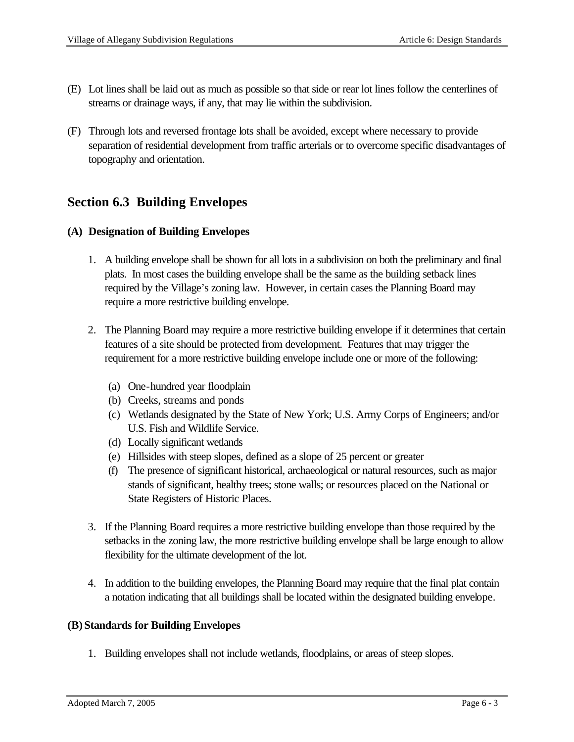- (E) Lot lines shall be laid out as much as possible so that side or rear lot lines follow the centerlines of streams or drainage ways, if any, that may lie within the subdivision.
- (F) Through lots and reversed frontage lots shall be avoided, except where necessary to provide separation of residential development from traffic arterials or to overcome specific disadvantages of topography and orientation.

### **Section 6.3 Building Envelopes**

#### **(A) Designation of Building Envelopes**

- 1. A building envelope shall be shown for all lots in a subdivision on both the preliminary and final plats. In most cases the building envelope shall be the same as the building setback lines required by the Village's zoning law. However, in certain cases the Planning Board may require a more restrictive building envelope.
- 2. The Planning Board may require a more restrictive building envelope if it determines that certain features of a site should be protected from development. Features that may trigger the requirement for a more restrictive building envelope include one or more of the following:
	- (a) One-hundred year floodplain
	- (b) Creeks, streams and ponds
	- (c) Wetlands designated by the State of New York; U.S. Army Corps of Engineers; and/or U.S. Fish and Wildlife Service.
	- (d) Locally significant wetlands
	- (e) Hillsides with steep slopes, defined as a slope of 25 percent or greater
	- (f) The presence of significant historical, archaeological or natural resources, such as major stands of significant, healthy trees; stone walls; or resources placed on the National or State Registers of Historic Places.
- 3. If the Planning Board requires a more restrictive building envelope than those required by the setbacks in the zoning law, the more restrictive building envelope shall be large enough to allow flexibility for the ultimate development of the lot.
- 4. In addition to the building envelopes, the Planning Board may require that the final plat contain a notation indicating that all buildings shall be located within the designated building envelope.

#### **(B) Standards for Building Envelopes**

1. Building envelopes shall not include wetlands, floodplains, or areas of steep slopes.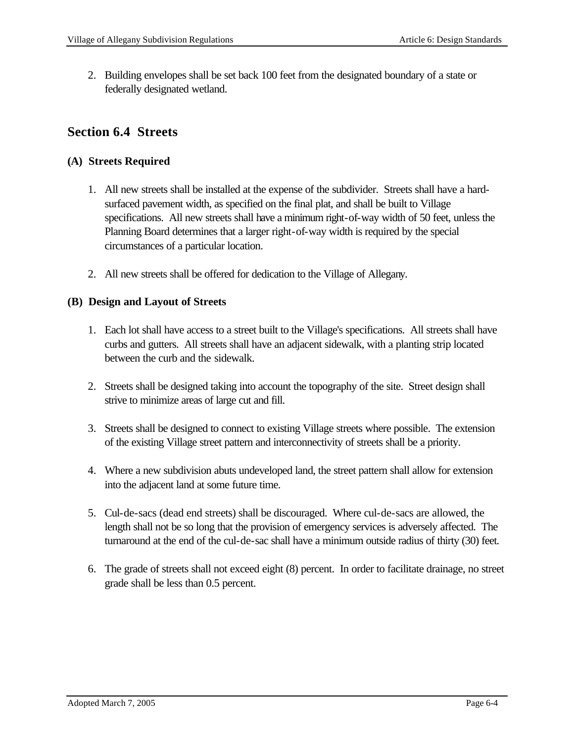2. Building envelopes shall be set back 100 feet from the designated boundary of a state or federally designated wetland.

### **Section 6.4 Streets**

#### **(A) Streets Required**

- 1. All new streets shall be installed at the expense of the subdivider. Streets shall have a hardsurfaced pavement width, as specified on the final plat, and shall be built to Village specifications. All new streets shall have a minimum right-of-way width of 50 feet, unless the Planning Board determines that a larger right-of-way width is required by the special circumstances of a particular location.
- 2. All new streets shall be offered for dedication to the Village of Allegany.

#### **(B) Design and Layout of Streets**

- 1. Each lot shall have access to a street built to the Village's specifications. All streets shall have curbs and gutters. All streets shall have an adjacent sidewalk, with a planting strip located between the curb and the sidewalk.
- 2. Streets shall be designed taking into account the topography of the site. Street design shall strive to minimize areas of large cut and fill.
- 3. Streets shall be designed to connect to existing Village streets where possible. The extension of the existing Village street pattern and interconnectivity of streets shall be a priority.
- 4. Where a new subdivision abuts undeveloped land, the street pattern shall allow for extension into the adjacent land at some future time.
- 5. Cul-de-sacs (dead end streets) shall be discouraged. Where cul-de-sacs are allowed, the length shall not be so long that the provision of emergency services is adversely affected. The turnaround at the end of the cul-de-sac shall have a minimum outside radius of thirty (30) feet.
- 6. The grade of streets shall not exceed eight (8) percent. In order to facilitate drainage, no street grade shall be less than 0.5 percent.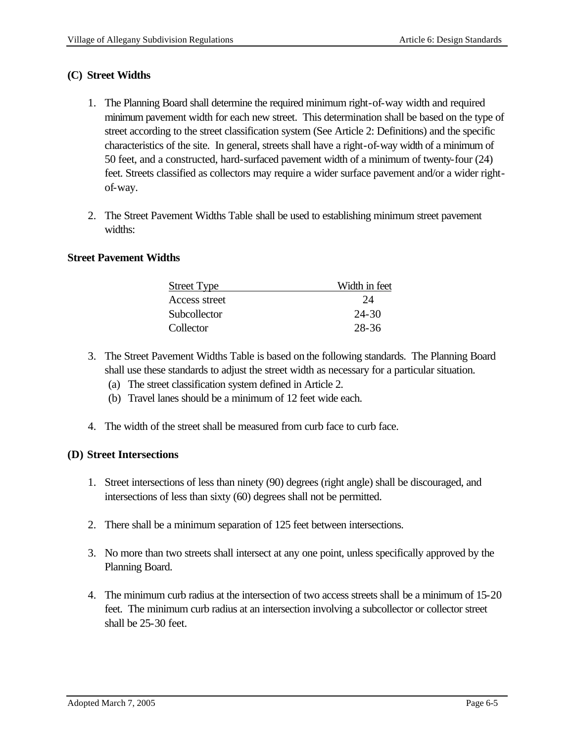#### **(C) Street Widths**

- 1. The Planning Board shall determine the required minimum right-of-way width and required minimum pavement width for each new street. This determination shall be based on the type of street according to the street classification system (See Article 2: Definitions) and the specific characteristics of the site. In general, streets shall have a right-of-way width of a minimum of 50 feet, and a constructed, hard-surfaced pavement width of a minimum of twenty-four (24) feet. Streets classified as collectors may require a wider surface pavement and/or a wider rightof-way.
- 2. The Street Pavement Widths Table shall be used to establishing minimum street pavement widths:

#### **Street Pavement Widths**

| <b>Street Type</b>  | Width in feet |
|---------------------|---------------|
| Access street       | 24            |
| <b>Subcollector</b> | 24-30         |
| Collector           | 28-36         |

- 3. The Street Pavement Widths Table is based on the following standards. The Planning Board shall use these standards to adjust the street width as necessary for a particular situation.
	- (a) The street classification system defined in Article 2.
	- (b) Travel lanes should be a minimum of 12 feet wide each.
- 4. The width of the street shall be measured from curb face to curb face.

#### **(D) Street Intersections**

- 1. Street intersections of less than ninety (90) degrees (right angle) shall be discouraged, and intersections of less than sixty (60) degrees shall not be permitted.
- 2. There shall be a minimum separation of 125 feet between intersections.
- 3. No more than two streets shall intersect at any one point, unless specifically approved by the Planning Board.
- 4. The minimum curb radius at the intersection of two access streets shall be a minimum of 15-20 feet. The minimum curb radius at an intersection involving a subcollector or collector street shall be 25-30 feet.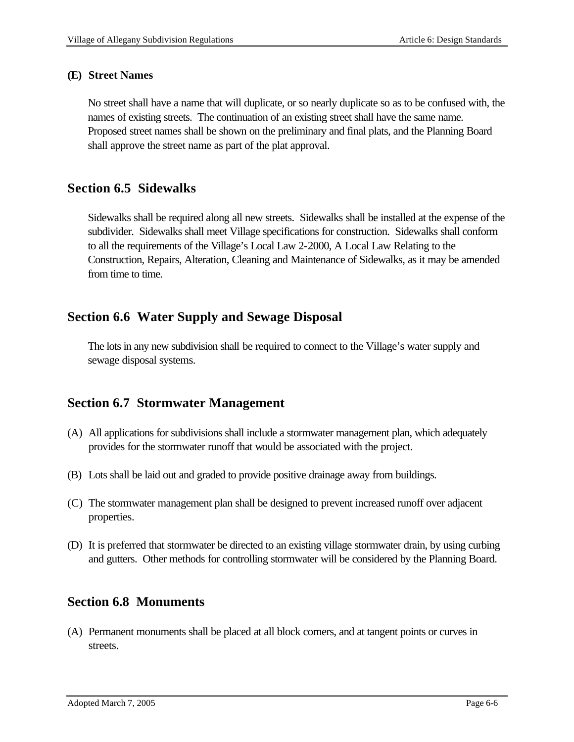#### **(E) Street Names**

No street shall have a name that will duplicate, or so nearly duplicate so as to be confused with, the names of existing streets. The continuation of an existing street shall have the same name. Proposed street names shall be shown on the preliminary and final plats, and the Planning Board shall approve the street name as part of the plat approval.

### **Section 6.5 Sidewalks**

Sidewalks shall be required along all new streets. Sidewalks shall be installed at the expense of the subdivider. Sidewalks shall meet Village specifications for construction. Sidewalks shall conform to all the requirements of the Village's Local Law 2-2000, A Local Law Relating to the Construction, Repairs, Alteration, Cleaning and Maintenance of Sidewalks, as it may be amended from time to time.

### **Section 6.6 Water Supply and Sewage Disposal**

The lots in any new subdivision shall be required to connect to the Village's water supply and sewage disposal systems.

### **Section 6.7 Stormwater Management**

- (A) All applications for subdivisions shall include a stormwater management plan, which adequately provides for the stormwater runoff that would be associated with the project.
- (B) Lots shall be laid out and graded to provide positive drainage away from buildings.
- (C) The stormwater management plan shall be designed to prevent increased runoff over adjacent properties.
- (D) It is preferred that stormwater be directed to an existing village stormwater drain, by using curbing and gutters. Other methods for controlling stormwater will be considered by the Planning Board.

# **Section 6.8 Monuments**

(A) Permanent monuments shall be placed at all block corners, and at tangent points or curves in streets.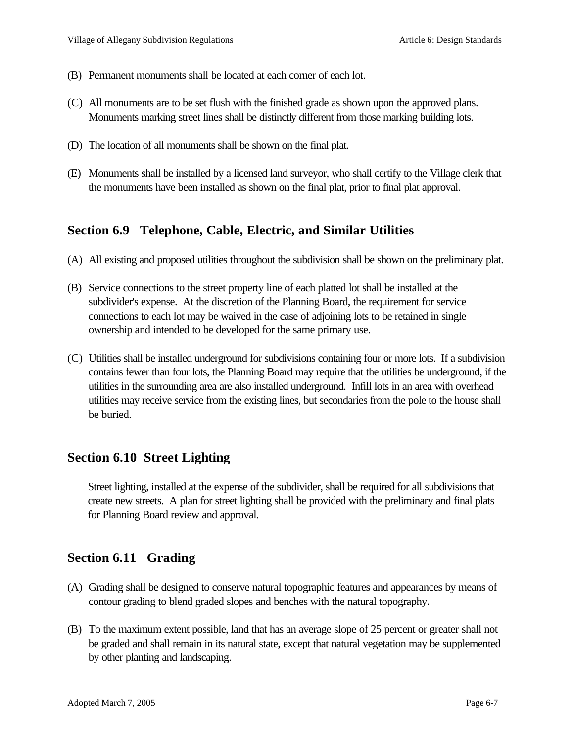- (B) Permanent monuments shall be located at each corner of each lot.
- (C) All monuments are to be set flush with the finished grade as shown upon the approved plans. Monuments marking street lines shall be distinctly different from those marking building lots.
- (D) The location of all monuments shall be shown on the final plat.
- (E) Monuments shall be installed by a licensed land surveyor, who shall certify to the Village clerk that the monuments have been installed as shown on the final plat, prior to final plat approval.

### **Section 6.9 Telephone, Cable, Electric, and Similar Utilities**

- (A) All existing and proposed utilities throughout the subdivision shall be shown on the preliminary plat.
- (B) Service connections to the street property line of each platted lot shall be installed at the subdivider's expense. At the discretion of the Planning Board, the requirement for service connections to each lot may be waived in the case of adjoining lots to be retained in single ownership and intended to be developed for the same primary use.
- (C) Utilities shall be installed underground for subdivisions containing four or more lots. If a subdivision contains fewer than four lots, the Planning Board may require that the utilities be underground, if the utilities in the surrounding area are also installed underground. Infill lots in an area with overhead utilities may receive service from the existing lines, but secondaries from the pole to the house shall be buried.

### **Section 6.10 Street Lighting**

Street lighting, installed at the expense of the subdivider, shall be required for all subdivisions that create new streets. A plan for street lighting shall be provided with the preliminary and final plats for Planning Board review and approval.

# **Section 6.11 Grading**

- (A) Grading shall be designed to conserve natural topographic features and appearances by means of contour grading to blend graded slopes and benches with the natural topography.
- (B) To the maximum extent possible, land that has an average slope of 25 percent or greater shall not be graded and shall remain in its natural state, except that natural vegetation may be supplemented by other planting and landscaping.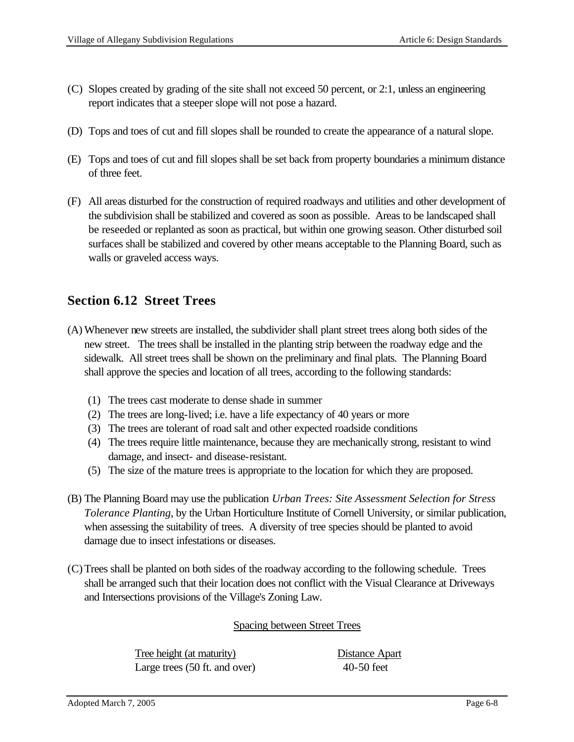- (C) Slopes created by grading of the site shall not exceed 50 percent, or 2:1, unless an engineering report indicates that a steeper slope will not pose a hazard.
- (D) Tops and toes of cut and fill slopes shall be rounded to create the appearance of a natural slope.
- (E) Tops and toes of cut and fill slopes shall be set back from property boundaries a minimum distance of three feet.
- (F) All areas disturbed for the construction of required roadways and utilities and other development of the subdivision shall be stabilized and covered as soon as possible. Areas to be landscaped shall be reseeded or replanted as soon as practical, but within one growing season. Other disturbed soil surfaces shall be stabilized and covered by other means acceptable to the Planning Board, such as walls or graveled access ways.

# **Section 6.12 Street Trees**

- (A) Whenever new streets are installed, the subdivider shall plant street trees along both sides of the new street. The trees shall be installed in the planting strip between the roadway edge and the sidewalk. All street trees shall be shown on the preliminary and final plats. The Planning Board shall approve the species and location of all trees, according to the following standards:
	- (1) The trees cast moderate to dense shade in summer
	- (2) The trees are long-lived; i.e. have a life expectancy of 40 years or more
	- (3) The trees are tolerant of road salt and other expected roadside conditions
	- (4) The trees require little maintenance, because they are mechanically strong, resistant to wind damage, and insect- and disease-resistant.
	- (5) The size of the mature trees is appropriate to the location for which they are proposed.
- (B) The Planning Board may use the publication *Urban Trees: Site Assessment Selection for Stress Tolerance Planting*, by the Urban Horticulture Institute of Cornell University, or similar publication, when assessing the suitability of trees. A diversity of tree species should be planted to avoid damage due to insect infestations or diseases.
- (C)Trees shall be planted on both sides of the roadway according to the following schedule. Trees shall be arranged such that their location does not conflict with the Visual Clearance at Driveways and Intersections provisions of the Village's Zoning Law.

Spacing between Street Trees

Tree height (at maturity) Distance Apart Large trees (50 ft. and over) 40-50 feet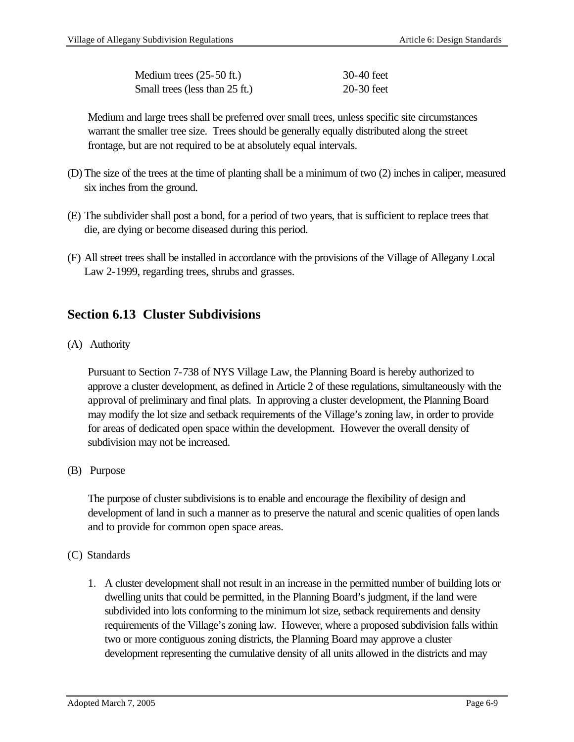| Medium trees $(25-50$ ft.)     | 30-40 feet |
|--------------------------------|------------|
| Small trees (less than 25 ft.) | 20-30 feet |

Medium and large trees shall be preferred over small trees, unless specific site circumstances warrant the smaller tree size. Trees should be generally equally distributed along the street frontage, but are not required to be at absolutely equal intervals.

- (D) The size of the trees at the time of planting shall be a minimum of two (2) inches in caliper, measured six inches from the ground.
- (E) The subdivider shall post a bond, for a period of two years, that is sufficient to replace trees that die, are dying or become diseased during this period.
- (F) All street trees shall be installed in accordance with the provisions of the Village of Allegany Local Law 2-1999, regarding trees, shrubs and grasses.

### **Section 6.13 Cluster Subdivisions**

(A) Authority

Pursuant to Section 7-738 of NYS Village Law, the Planning Board is hereby authorized to approve a cluster development, as defined in Article 2 of these regulations, simultaneously with the approval of preliminary and final plats. In approving a cluster development, the Planning Board may modify the lot size and setback requirements of the Village's zoning law, in order to provide for areas of dedicated open space within the development. However the overall density of subdivision may not be increased.

(B) Purpose

The purpose of cluster subdivisions is to enable and encourage the flexibility of design and development of land in such a manner as to preserve the natural and scenic qualities of open lands and to provide for common open space areas.

- (C) Standards
	- 1. A cluster development shall not result in an increase in the permitted number of building lots or dwelling units that could be permitted, in the Planning Board's judgment, if the land were subdivided into lots conforming to the minimum lot size, setback requirements and density requirements of the Village's zoning law. However, where a proposed subdivision falls within two or more contiguous zoning districts, the Planning Board may approve a cluster development representing the cumulative density of all units allowed in the districts and may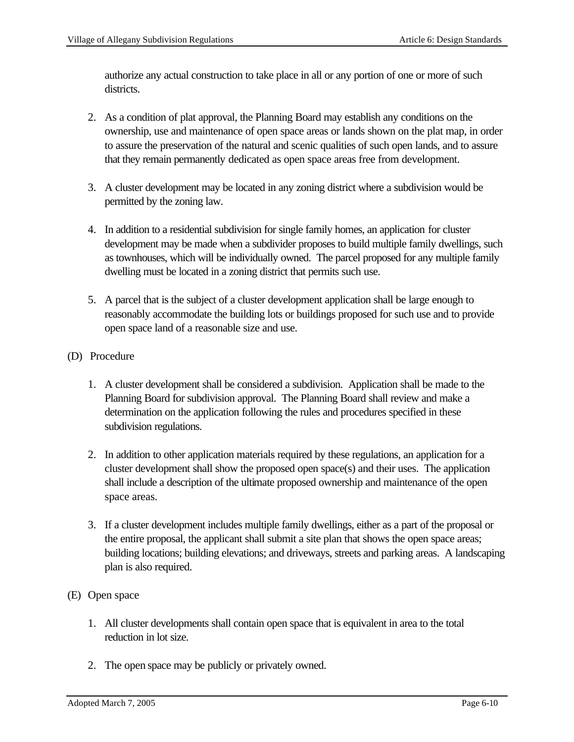authorize any actual construction to take place in all or any portion of one or more of such districts.

- 2. As a condition of plat approval, the Planning Board may establish any conditions on the ownership, use and maintenance of open space areas or lands shown on the plat map, in order to assure the preservation of the natural and scenic qualities of such open lands, and to assure that they remain permanently dedicated as open space areas free from development.
- 3. A cluster development may be located in any zoning district where a subdivision would be permitted by the zoning law.
- 4. In addition to a residential subdivision for single family homes, an application for cluster development may be made when a subdivider proposes to build multiple family dwellings, such as townhouses, which will be individually owned. The parcel proposed for any multiple family dwelling must be located in a zoning district that permits such use.
- 5. A parcel that is the subject of a cluster development application shall be large enough to reasonably accommodate the building lots or buildings proposed for such use and to provide open space land of a reasonable size and use.
- (D) Procedure
	- 1. A cluster development shall be considered a subdivision. Application shall be made to the Planning Board for subdivision approval. The Planning Board shall review and make a determination on the application following the rules and procedures specified in these subdivision regulations.
	- 2. In addition to other application materials required by these regulations, an application for a cluster development shall show the proposed open space(s) and their uses. The application shall include a description of the ultimate proposed ownership and maintenance of the open space areas.
	- 3. If a cluster development includes multiple family dwellings, either as a part of the proposal or the entire proposal, the applicant shall submit a site plan that shows the open space areas; building locations; building elevations; and driveways, streets and parking areas. A landscaping plan is also required.
- (E) Open space
	- 1. All cluster developments shall contain open space that is equivalent in area to the total reduction in lot size.
	- 2. The open space may be publicly or privately owned.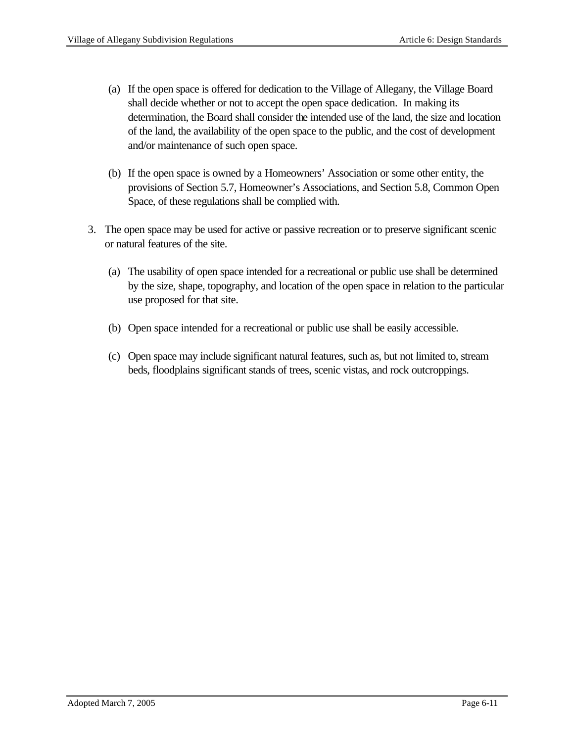- (a) If the open space is offered for dedication to the Village of Allegany, the Village Board shall decide whether or not to accept the open space dedication. In making its determination, the Board shall consider the intended use of the land, the size and location of the land, the availability of the open space to the public, and the cost of development and/or maintenance of such open space.
- (b) If the open space is owned by a Homeowners' Association or some other entity, the provisions of Section 5.7, Homeowner's Associations, and Section 5.8, Common Open Space, of these regulations shall be complied with.
- 3. The open space may be used for active or passive recreation or to preserve significant scenic or natural features of the site.
	- (a) The usability of open space intended for a recreational or public use shall be determined by the size, shape, topography, and location of the open space in relation to the particular use proposed for that site.
	- (b) Open space intended for a recreational or public use shall be easily accessible.
	- (c) Open space may include significant natural features, such as, but not limited to, stream beds, floodplains significant stands of trees, scenic vistas, and rock outcroppings.